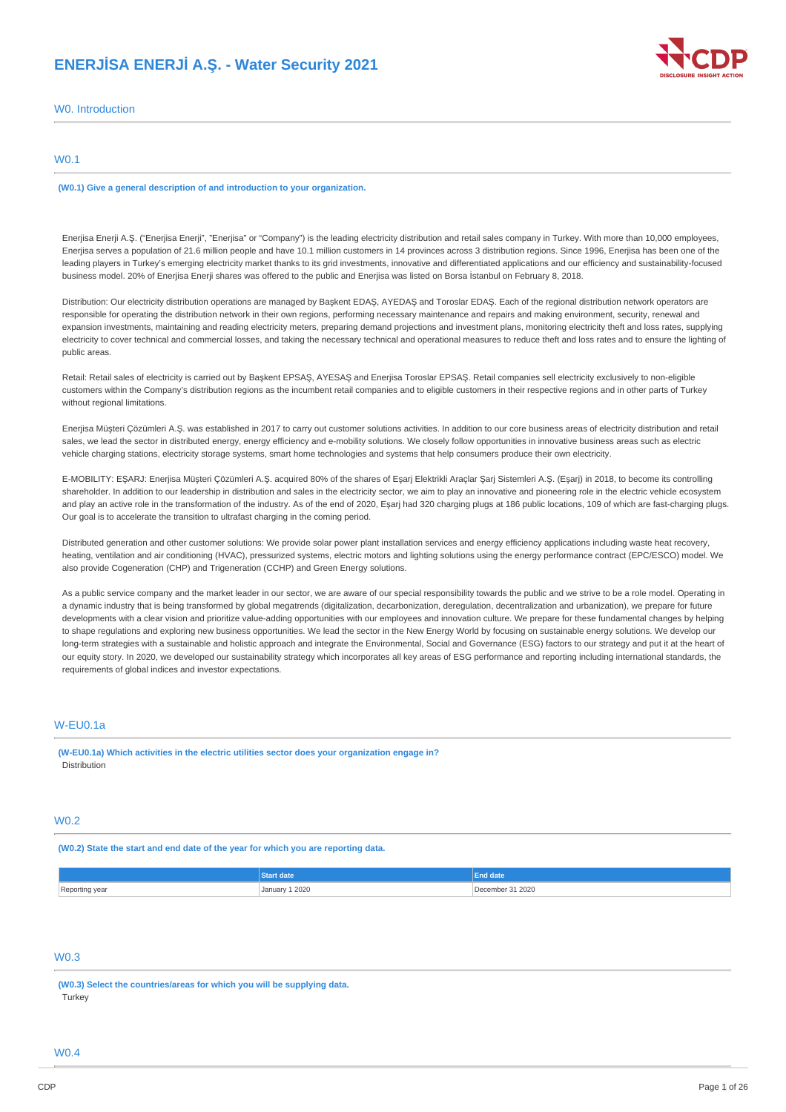# **ENERJİSA ENERJİ A.Ş. - Water Security 2021**



W0. Introduction

## W0.1

**(W0.1) Give a general description of and introduction to your organization.**

Enerjisa Enerji A.Ş. ("Enerjisa Enerji", "Enerjisa" or "Company") is the leading electricity distribution and retail sales company in Turkey. With more than 10,000 employees, Enerjisa serves a population of 21.6 million people and have 10.1 million customers in 14 provinces across 3 distribution regions. Since 1996, Enerjisa has been one of the leading players in Turkey's emerging electricity market thanks to its grid investments, innovative and differentiated applications and our efficiency and sustainability-focused business model. 20% of Enerjisa Enerji shares was offered to the public and Enerjisa was listed on Borsa İstanbul on February 8, 2018.

Distribution: Our electricity distribution operations are managed by Başkent EDAŞ, AYEDAŞ and Toroslar EDAŞ. Each of the regional distribution network operators are responsible for operating the distribution network in their own regions, performing necessary maintenance and repairs and making environment, security, renewal and expansion investments, maintaining and reading electricity meters, preparing demand projections and investment plans, monitoring electricity theft and loss rates, supplying electricity to cover technical and commercial losses, and taking the necessary technical and operational measures to reduce theft and loss rates and to ensure the lighting of public areas.

Retail: Retail sales of electricity is carried out by Başkent EPSAŞ, AYESAŞ and Enerjisa Toroslar EPSAŞ. Retail companies sell electricity exclusively to non-eligible customers within the Company's distribution regions as the incumbent retail companies and to eligible customers in their respective regions and in other parts of Turkey without regional limitations.

Enerjisa Müşteri Çözümleri A.Ş. was established in 2017 to carry out customer solutions activities. In addition to our core business areas of electricity distribution and retail sales, we lead the sector in distributed energy, energy efficiency and e-mobility solutions. We closely follow opportunities in innovative business areas such as electric vehicle charging stations, electricity storage systems, smart home technologies and systems that help consumers produce their own electricity.

E-MOBILITY: EŞARJ: Enerjisa Müşteri Çözümleri A.Ş. acquired 80% of the shares of Eşarj Elektrikli Araçlar Şarj Sistemleri A.Ş. (Eşarj) in 2018, to become its controlling shareholder. In addition to our leadership in distribution and sales in the electricity sector, we aim to play an innovative and pioneering role in the electric vehicle ecosystem and play an active role in the transformation of the industry. As of the end of 2020, Eşarj had 320 charging plugs at 186 public locations, 109 of which are fast-charging plugs. Our goal is to accelerate the transition to ultrafast charging in the coming period.

Distributed generation and other customer solutions: We provide solar power plant installation services and energy efficiency applications including waste heat recovery, heating, ventilation and air conditioning (HVAC), pressurized systems, electric motors and lighting solutions using the energy performance contract (EPC/ESCO) model. We also provide Cogeneration (CHP) and Trigeneration (CCHP) and Green Energy solutions.

As a public service company and the market leader in our sector, we are aware of our special responsibility towards the public and we strive to be a role model. Operating in a dynamic industry that is being transformed by global megatrends (digitalization, decarbonization, deregulation, decentralization and urbanization), we prepare for future developments with a clear vision and prioritize value-adding opportunities with our employees and innovation culture. We prepare for these fundamental changes by helping to shape regulations and exploring new business opportunities. We lead the sector in the New Energy World by focusing on sustainable energy solutions. We develop our long-term strategies with a sustainable and holistic approach and integrate the Environmental, Social and Governance (ESG) factors to our strategy and put it at the heart of our equity story. In 2020, we developed our sustainability strategy which incorporates all key areas of ESG performance and reporting including international standards, the requirements of global indices and investor expectations.

## W-EU0.1a

**(W-EU0.1a) Which activities in the electric utilities sector does your organization engage in? Distribution** 

## W0.2

**(W0.2) State the start and end date of the year for which you are reporting data.**

|                       | art date       | <b>End date</b>  |
|-----------------------|----------------|------------------|
| Reporting year<br>- - | January 1 2020 | December 31 2020 |

### W0.3

**(W0.3) Select the countries/areas for which you will be supplying data. Turkey** 

### W0.4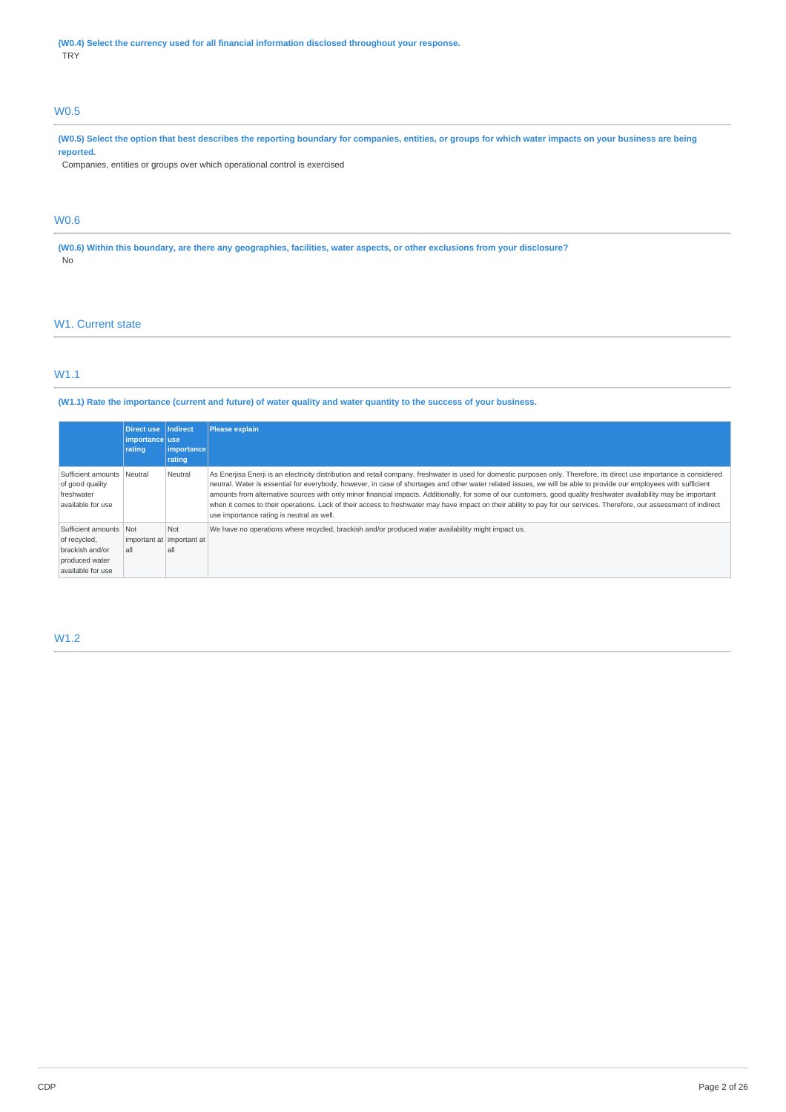**(W0.4) Select the currency used for all financial information disclosed throughout your response.** TRY

## W0.5

(W0.5) Select the option that best describes the reporting boundary for companies, entities, or groups for which water impacts on your business are being **reported.**

Companies, entities or groups over which operational control is exercised

## W0.6

(W0.6) Within this boundary, are there any geographies, facilities, water aspects, or other exclusions from your disclosure? No

## W<sub>1</sub>. Current state

## W1.1

(W1.1) Rate the importance (current and future) of water quality and water quantity to the success of your business.

|                                                                                                  | Direct use Indirect<br>importance use<br>rating | <i>importance</i><br>rating | <b>Please explain</b>                                                                                                                                                                                                                                                                                                                                                                                                                                                                                                                                                                                                                                                                                                                    |
|--------------------------------------------------------------------------------------------------|-------------------------------------------------|-----------------------------|------------------------------------------------------------------------------------------------------------------------------------------------------------------------------------------------------------------------------------------------------------------------------------------------------------------------------------------------------------------------------------------------------------------------------------------------------------------------------------------------------------------------------------------------------------------------------------------------------------------------------------------------------------------------------------------------------------------------------------------|
| Sufficient amounts   Neutral<br>of good quality<br>freshwater<br>available for use               |                                                 | Neutral                     | As Enerjisa Enerji is an electricity distribution and retail company, freshwater is used for domestic purposes only. Therefore, its direct use importance is considered<br>neutral. Water is essential for everybody, however, in case of shortages and other water related issues, we will be able to provide our employees with sufficient<br>amounts from alternative sources with only minor financial impacts. Additionally, for some of our customers, good quality freshwater availability may be important<br>when it comes to their operations. Lack of their access to freshwater may have impact on their ability to pay for our services. Therefore, our assessment of indirect<br>use importance rating is neutral as well. |
| Sufficient amounts Not<br>of recycled,<br>brackish and/or<br>produced water<br>available for use | important at important at<br>all                | Not<br>all                  | We have no operations where recycled, brackish and/or produced water availability might impact us.                                                                                                                                                                                                                                                                                                                                                                                                                                                                                                                                                                                                                                       |

## W1.2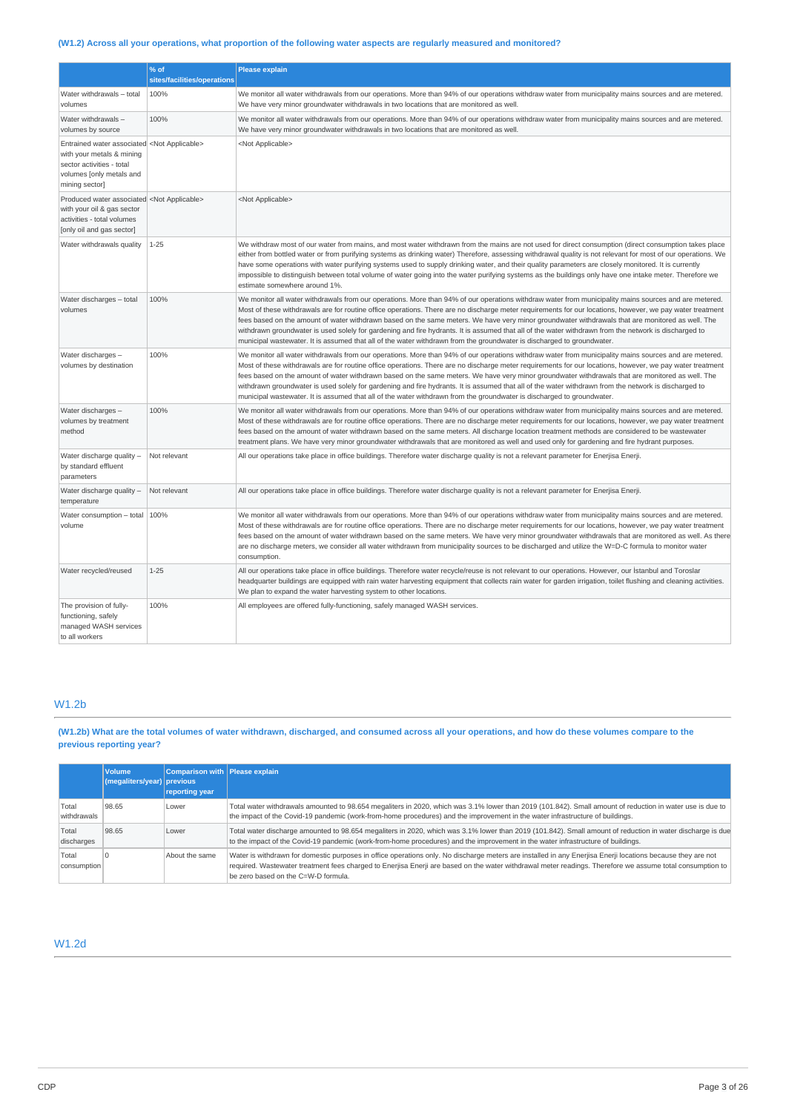## (W1.2) Across all your operations, what proportion of the following water aspects are regularly measured and monitored?

|                                                                                                                                                                      | % of<br>sites/facilities/operations | <b>Please explain</b>                                                                                                                                                                                                                                                                                                                                                                                                                                                                                                                                                                                                                                                                                                                                     |
|----------------------------------------------------------------------------------------------------------------------------------------------------------------------|-------------------------------------|-----------------------------------------------------------------------------------------------------------------------------------------------------------------------------------------------------------------------------------------------------------------------------------------------------------------------------------------------------------------------------------------------------------------------------------------------------------------------------------------------------------------------------------------------------------------------------------------------------------------------------------------------------------------------------------------------------------------------------------------------------------|
| Water withdrawals - total<br>volumes                                                                                                                                 | 100%                                | We monitor all water withdrawals from our operations. More than 94% of our operations withdraw water from municipality mains sources and are metered.<br>We have very minor groundwater withdrawals in two locations that are monitored as well.                                                                                                                                                                                                                                                                                                                                                                                                                                                                                                          |
| Water withdrawals-<br>volumes by source                                                                                                                              | 100%                                | We monitor all water withdrawals from our operations. More than 94% of our operations withdraw water from municipality mains sources and are metered.<br>We have very minor groundwater withdrawals in two locations that are monitored as well.                                                                                                                                                                                                                                                                                                                                                                                                                                                                                                          |
| Entrained water associated <not applicable=""><br/>with your metals &amp; mining<br/>sector activities - total<br/>volumes [only metals and<br/>mining sector]</not> |                                     | <not applicable=""></not>                                                                                                                                                                                                                                                                                                                                                                                                                                                                                                                                                                                                                                                                                                                                 |
| Produced water associated <not applicable=""><br/>with your oil &amp; gas sector<br/>activities - total volumes<br/>[only oil and gas sector]</not>                  |                                     | <not applicable=""></not>                                                                                                                                                                                                                                                                                                                                                                                                                                                                                                                                                                                                                                                                                                                                 |
| Water withdrawals quality                                                                                                                                            | $1 - 25$                            | We withdraw most of our water from mains, and most water withdrawn from the mains are not used for direct consumption (direct consumption takes place<br>either from bottled water or from purifying systems as drinking water) Therefore, assessing withdrawal quality is not relevant for most of our operations. We<br>have some operations with water purifying systems used to supply drinking water, and their quality parameters are closely monitored. It is currently<br>impossible to distinguish between total volume of water going into the water purifying systems as the buildings only have one intake meter. Therefore we<br>estimate somewhere around 1%.                                                                               |
| Water discharges - total<br>volumes                                                                                                                                  | 100%                                | We monitor all water withdrawals from our operations. More than 94% of our operations withdraw water from municipality mains sources and are metered.<br>Most of these withdrawals are for routine office operations. There are no discharge meter requirements for our locations, however, we pay water treatment<br>fees based on the amount of water withdrawn based on the same meters. We have very minor groundwater withdrawals that are monitored as well. The<br>withdrawn groundwater is used solely for gardening and fire hydrants. It is assumed that all of the water withdrawn from the network is discharged to<br>municipal wastewater. It is assumed that all of the water withdrawn from the groundwater is discharged to groundwater. |
| Water discharges -<br>volumes by destination                                                                                                                         | 100%                                | We monitor all water withdrawals from our operations. More than 94% of our operations withdraw water from municipality mains sources and are metered.<br>Most of these withdrawals are for routine office operations. There are no discharge meter requirements for our locations, however, we pay water treatment<br>fees based on the amount of water withdrawn based on the same meters. We have very minor groundwater withdrawals that are monitored as well. The<br>withdrawn groundwater is used solely for gardening and fire hydrants. It is assumed that all of the water withdrawn from the network is discharged to<br>municipal wastewater. It is assumed that all of the water withdrawn from the groundwater is discharged to groundwater. |
| Water discharges -<br>volumes by treatment<br>method                                                                                                                 | 100%                                | We monitor all water withdrawals from our operations. More than 94% of our operations withdraw water from municipality mains sources and are metered.<br>Most of these withdrawals are for routine office operations. There are no discharge meter requirements for our locations, however, we pay water treatment<br>fees based on the amount of water withdrawn based on the same meters. All discharge location treatment methods are considered to be wastewater<br>treatment plans. We have very minor groundwater withdrawals that are monitored as well and used only for gardening and fire hydrant purposes.                                                                                                                                     |
| Water discharge quality -<br>by standard effluent<br>parameters                                                                                                      | Not relevant                        | All our operations take place in office buildings. Therefore water discharge quality is not a relevant parameter for Enerjisa Enerji.                                                                                                                                                                                                                                                                                                                                                                                                                                                                                                                                                                                                                     |
| Water discharge quality -<br>temperature                                                                                                                             | Not relevant                        | All our operations take place in office buildings. Therefore water discharge quality is not a relevant parameter for Enerjisa Enerji.                                                                                                                                                                                                                                                                                                                                                                                                                                                                                                                                                                                                                     |
| Water consumption - total $ 100\%$<br>volume                                                                                                                         |                                     | We monitor all water withdrawals from our operations. More than 94% of our operations withdraw water from municipality mains sources and are metered.<br>Most of these withdrawals are for routine office operations. There are no discharge meter requirements for our locations, however, we pay water treatment<br>fees based on the amount of water withdrawn based on the same meters. We have very minor groundwater withdrawals that are monitored as well. As there<br>are no discharge meters, we consider all water withdrawn from municipality sources to be discharged and utilize the W=D-C formula to monitor water<br>consumption.                                                                                                         |
| Water recycled/reused                                                                                                                                                | $1 - 25$                            | All our operations take place in office buildings. Therefore water recycle/reuse is not relevant to our operations. However, our Istanbul and Toroslar<br>headquarter buildings are equipped with rain water harvesting equipment that collects rain water for garden irrigation, toilet flushing and cleaning activities.<br>We plan to expand the water harvesting system to other locations.                                                                                                                                                                                                                                                                                                                                                           |
| The provision of fully-<br>functioning, safely<br>managed WASH services<br>to all workers                                                                            | 100%                                | All employees are offered fully-functioning, safely managed WASH services.                                                                                                                                                                                                                                                                                                                                                                                                                                                                                                                                                                                                                                                                                |

## W1.2b

(W1.2b) What are the total volumes of water withdrawn, discharged, and consumed across all your operations, and how do these volumes compare to the **previous reporting year?**

|                      | Volume<br>(megaliters/year) previous | Comparison with Please explain<br>reporting year |                                                                                                                                                                                                                                                                                                                                                                 |
|----------------------|--------------------------------------|--------------------------------------------------|-----------------------------------------------------------------------------------------------------------------------------------------------------------------------------------------------------------------------------------------------------------------------------------------------------------------------------------------------------------------|
| Total<br>withdrawals | 98.65                                | Lower                                            | Total water withdrawals amounted to 98.654 megaliters in 2020, which was 3.1% lower than 2019 (101.842). Small amount of reduction in water use is due to<br>the impact of the Covid-19 pandemic (work-from-home procedures) and the improvement in the water infrastructure of buildings.                                                                      |
| Total<br>discharges  | 98.65                                | Lower                                            | Total water discharge amounted to 98.654 megaliters in 2020, which was 3.1% lower than 2019 (101.842). Small amount of reduction in water discharge is due<br>to the impact of the Covid-19 pandemic (work-from-home procedures) and the improvement in the water infrastructure of buildings.                                                                  |
| Total<br>consumption |                                      | About the same                                   | Water is withdrawn for domestic purposes in office operations only. No discharge meters are installed in any Enerjisa Enerji locations because they are not<br>required. Wastewater treatment fees charged to Enerjisa Enerji are based on the water withdrawal meter readings. Therefore we assume total consumption to<br>be zero based on the C=W-D formula. |

## W1.2d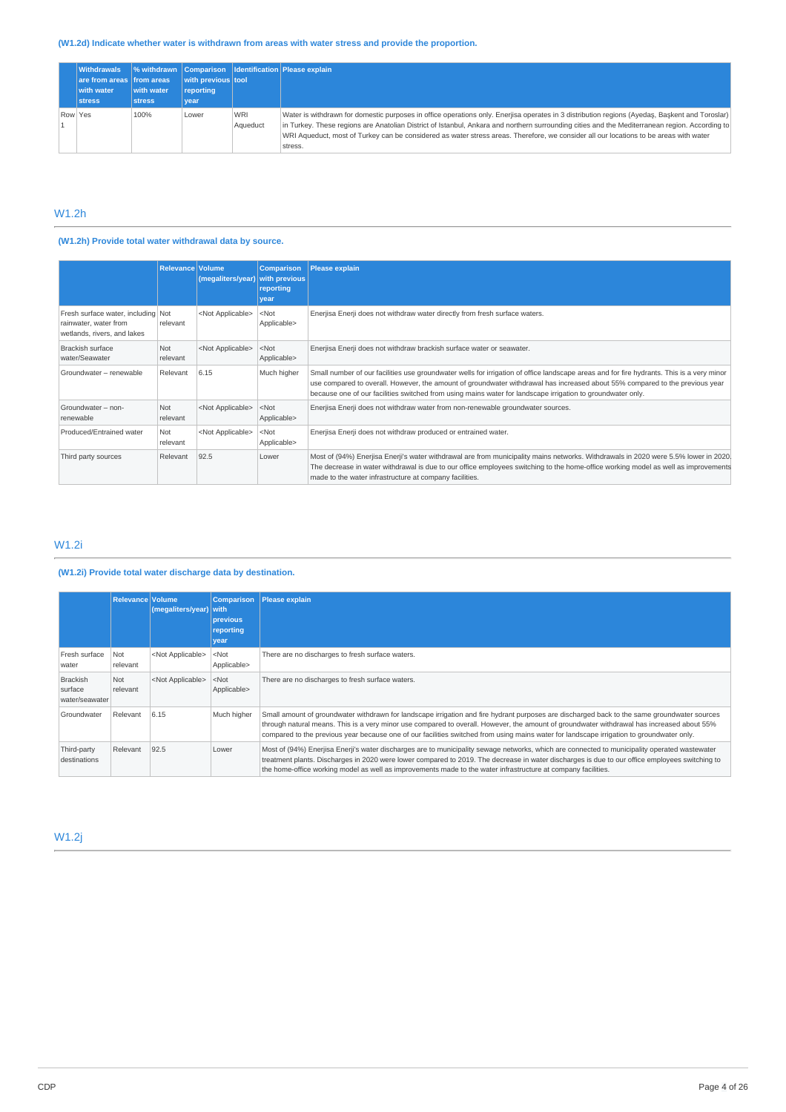## **(W1.2d) Indicate whether water is withdrawn from areas with water stress and provide the proportion.**

| <b>Withdrawals</b><br>are from areas from areas<br>with water<br><b>stress</b> | with water<br><b>stress</b> | with previous tool<br>reporting<br>vear |                        | % withdrawn   Comparison   Identification   Please explain                                                                                                                                                                                                                                                                                                                                                                                           |
|--------------------------------------------------------------------------------|-----------------------------|-----------------------------------------|------------------------|------------------------------------------------------------------------------------------------------------------------------------------------------------------------------------------------------------------------------------------------------------------------------------------------------------------------------------------------------------------------------------------------------------------------------------------------------|
| Row Yes                                                                        | 100%                        | Lower                                   | <b>WRI</b><br>Aqueduct | Water is withdrawn for domestic purposes in office operations only. Enerjisa operates in 3 distribution regions (Ayedaş, Başkent and Toroslar)<br>in Turkey. These regions are Anatolian District of Istanbul, Ankara and northern surrounding cities and the Mediterranean region. According to<br>WRI Aqueduct, most of Turkey can be considered as water stress areas. Therefore, we consider all our locations to be areas with water<br>stress. |

# W1.2h

## **(W1.2h) Provide total water withdrawal data by source.**

|                                                                                            | <b>Relevance Volume</b> | (megaliters/year)         | <b>Comparison</b><br>with previous<br>reporting<br>vear | <b>Please explain</b>                                                                                                                                                                                                                                                                                                                                                                    |
|--------------------------------------------------------------------------------------------|-------------------------|---------------------------|---------------------------------------------------------|------------------------------------------------------------------------------------------------------------------------------------------------------------------------------------------------------------------------------------------------------------------------------------------------------------------------------------------------------------------------------------------|
| Fresh surface water, including Not<br>rainwater, water from<br>wetlands, rivers, and lakes | relevant                | <not applicable=""></not> | $<$ Not<br>Applicable>                                  | Enerjisa Enerji does not withdraw water directly from fresh surface waters.                                                                                                                                                                                                                                                                                                              |
| Brackish surface<br>water/Seawater                                                         | Not<br>relevant         | <not applicable=""></not> | $<$ Not<br>Applicable>                                  | Enerjisa Enerji does not withdraw brackish surface water or seawater.                                                                                                                                                                                                                                                                                                                    |
| Groundwater - renewable                                                                    | Relevant                | 6.15                      | Much higher                                             | Small number of our facilities use groundwater wells for irrigation of office landscape areas and for fire hydrants. This is a very minor<br>use compared to overall. However, the amount of groundwater withdrawal has increased about 55% compared to the previous year<br>because one of our facilities switched from using mains water for landscape irrigation to groundwater only. |
| Groundwater - non-<br>renewable                                                            | Not<br>relevant         | <not applicable=""></not> | $<$ Not<br>Applicable>                                  | Enerjisa Enerji does not withdraw water from non-renewable groundwater sources.                                                                                                                                                                                                                                                                                                          |
| Produced/Entrained water                                                                   | Not<br>relevant         | <not applicable=""></not> | $<$ Not<br>Applicable>                                  | Enerjisa Enerji does not withdraw produced or entrained water.                                                                                                                                                                                                                                                                                                                           |
| Third party sources                                                                        | Relevant                | 92.5                      | Lower                                                   | Most of (94%) Enerjisa Enerji's water withdrawal are from municipality mains networks. Withdrawals in 2020 were 5.5% lower in 2020<br>The decrease in water withdrawal is due to our office employees switching to the home-office working model as well as improvements<br>made to the water infrastructure at company facilities.                                                      |

## W1.2i

## **(W1.2i) Provide total water discharge data by destination.**

|                                              | <b>Relevance Volume</b> | (megaliters/year) with    | <b>Comparison</b><br>previous<br>reporting<br>year | <b>Please explain</b>                                                                                                                                                                                                                                                                                                                                                                                                                   |
|----------------------------------------------|-------------------------|---------------------------|----------------------------------------------------|-----------------------------------------------------------------------------------------------------------------------------------------------------------------------------------------------------------------------------------------------------------------------------------------------------------------------------------------------------------------------------------------------------------------------------------------|
| Fresh surface<br>water                       | Not<br>relevant         | <not applicable=""></not> | $<$ Not<br>Applicable>                             | There are no discharges to fresh surface waters.                                                                                                                                                                                                                                                                                                                                                                                        |
| <b>Brackish</b><br>surface<br>water/seawater | Not<br>relevant         | <not applicable=""></not> | $<$ Not<br>Applicable>                             | There are no discharges to fresh surface waters.                                                                                                                                                                                                                                                                                                                                                                                        |
| Groundwater                                  | Relevant                | 6.15                      | Much higher                                        | Small amount of groundwater withdrawn for landscape irrigation and fire hydrant purposes are discharged back to the same groundwater sources<br>through natural means. This is a very minor use compared to overall. However, the amount of groundwater withdrawal has increased about 55%<br>compared to the previous year because one of our facilities switched from using mains water for landscape irrigation to groundwater only. |
| Third-party<br>destinations                  | Relevant                | 92.5                      | Lower                                              | Most of (94%) Enerjisa Enerji's water discharges are to municipality sewage networks, which are connected to municipality operated wastewater<br>treatment plants. Discharges in 2020 were lower compared to 2019. The decrease in water discharges is due to our office employees switching to<br>the home-office working model as well as improvements made to the water infrastructure at company facilities.                        |

W1.2j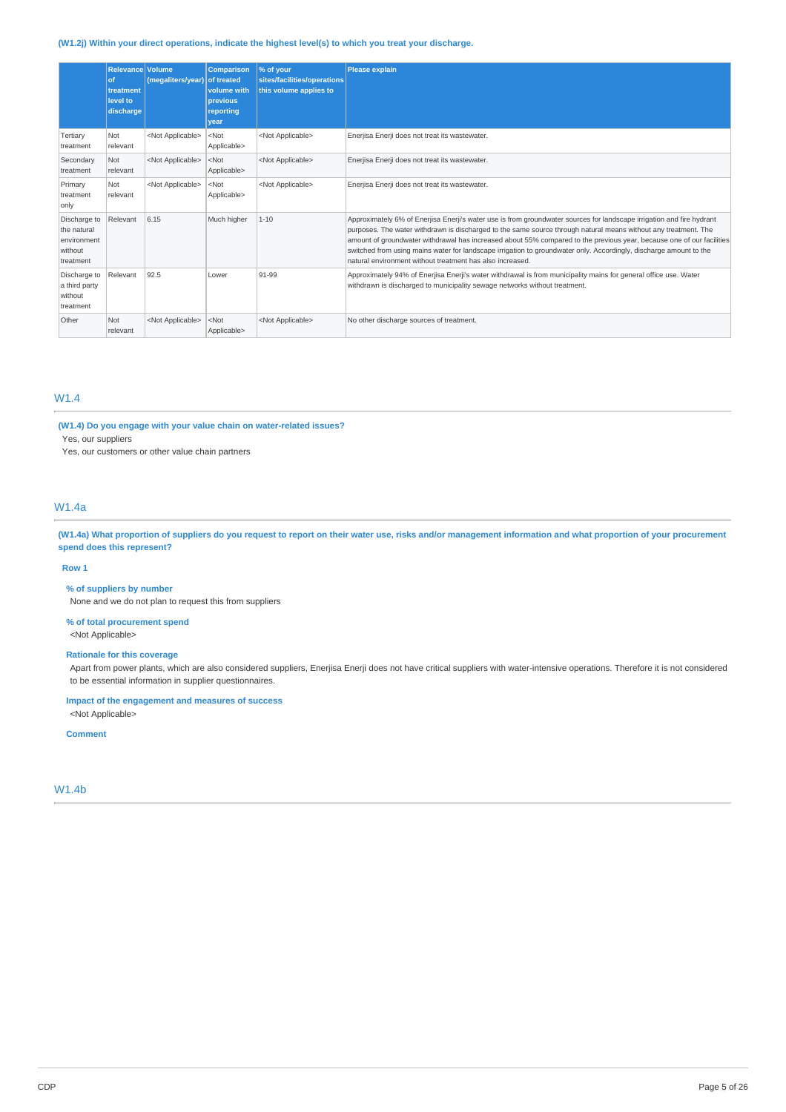### **(W1.2j) Within your direct operations, indicate the highest level(s) to which you treat your discharge.**

|                                                                    | Relevance Volume<br>of<br>treatment<br>level to<br>discharge | (megaliters/year)         | <b>Comparison</b><br>of treated<br>volume with<br>previous<br>reporting<br>vear | % of your<br>sites/facilities/operations<br>this volume applies to | Please explain                                                                                                                                                                                                                                                                                                                                                                                                                                                                                                                                       |
|--------------------------------------------------------------------|--------------------------------------------------------------|---------------------------|---------------------------------------------------------------------------------|--------------------------------------------------------------------|------------------------------------------------------------------------------------------------------------------------------------------------------------------------------------------------------------------------------------------------------------------------------------------------------------------------------------------------------------------------------------------------------------------------------------------------------------------------------------------------------------------------------------------------------|
| Tertiary<br>treatment                                              | Not<br>relevant                                              | <not applicable=""></not> | $<$ Not<br>Applicable>                                                          | <not applicable=""></not>                                          | Enerjisa Enerji does not treat its wastewater.                                                                                                                                                                                                                                                                                                                                                                                                                                                                                                       |
| Secondary<br>treatment                                             | <b>Not</b><br>relevant                                       | <not applicable=""></not> | $<$ Not<br>Applicable>                                                          | <not applicable=""></not>                                          | Enerjisa Enerji does not treat its wastewater.                                                                                                                                                                                                                                                                                                                                                                                                                                                                                                       |
| Primary<br>treatment<br>only                                       | <b>Not</b><br>relevant                                       | <not applicable=""></not> | $<$ Not<br>Applicable>                                                          | <not applicable=""></not>                                          | Enerjisa Enerji does not treat its wastewater.                                                                                                                                                                                                                                                                                                                                                                                                                                                                                                       |
| Discharge to<br>the natural<br>environment<br>without<br>treatment | Relevant                                                     | 6.15                      | Much higher                                                                     | $1 - 10$                                                           | Approximately 6% of Enerjisa Enerji's water use is from groundwater sources for landscape irrigation and fire hydrant<br>purposes. The water withdrawn is discharged to the same source through natural means without any treatment. The<br>amount of groundwater withdrawal has increased about 55% compared to the previous year, because one of our facilities<br>switched from using mains water for landscape irrigation to groundwater only. Accordingly, discharge amount to the<br>natural environment without treatment has also increased. |
| Discharge to<br>a third party<br>without<br>treatment              | Relevant                                                     | 92.5                      | Lower                                                                           | 91-99                                                              | Approximately 94% of Enerjisa Enerji's water withdrawal is from municipality mains for general office use. Water<br>withdrawn is discharged to municipality sewage networks without treatment.                                                                                                                                                                                                                                                                                                                                                       |
| Other                                                              | Not<br>relevant                                              | <not applicable=""></not> | $<$ Not<br>Applicable>                                                          | <not applicable=""></not>                                          | No other discharge sources of treatment.                                                                                                                                                                                                                                                                                                                                                                                                                                                                                                             |

## W1.4

### **(W1.4) Do you engage with your value chain on water-related issues?**

Yes, our suppliers

Yes, our customers or other value chain partners

### W1.4a

(W1.4a) What proportion of suppliers do you request to report on their water use, risks and/or management information and what proportion of your procurement **spend does this represent?**

#### **Row 1**

**% of suppliers by number**

None and we do not plan to request this from suppliers

#### **% of total procurement spend** <Not Applicable>

### **Rationale for this coverage**

Apart from power plants, which are also considered suppliers, Enerjisa Enerji does not have critical suppliers with water-intensive operations. Therefore it is not considered to be essential information in supplier questionnaires.

## **Impact of the engagement and measures of success**

<Not Applicable>

## **Comment**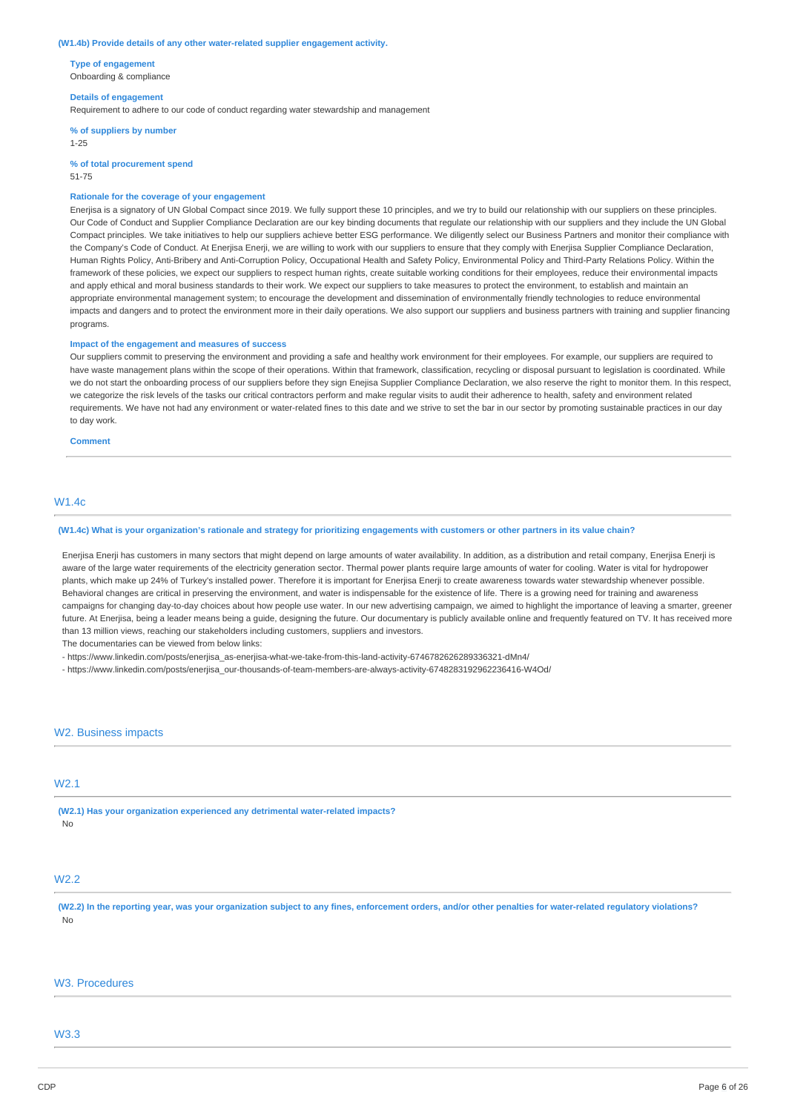#### **(W1.4b) Provide details of any other water-related supplier engagement activity.**

**Type of engagement** Onboarding & compliance

#### **Details of engagement**

Requirement to adhere to our code of conduct regarding water stewardship and management

**% of suppliers by number** 1-25

**% of total procurement spend**

#### 51-75

#### **Rationale for the coverage of your engagement**

Enerjisa is a signatory of UN Global Compact since 2019. We fully support these 10 principles, and we try to build our relationship with our suppliers on these principles. Our Code of Conduct and Supplier Compliance Declaration are our key binding documents that regulate our relationship with our suppliers and they include the UN Global Compact principles. We take initiatives to help our suppliers achieve better ESG performance. We diligently select our Business Partners and monitor their compliance with the Company's Code of Conduct. At Enerjisa Enerji, we are willing to work with our suppliers to ensure that they comply with Enerjisa Supplier Compliance Declaration, Human Rights Policy, Anti-Bribery and Anti-Corruption Policy, Occupational Health and Safety Policy, Environmental Policy and Third-Party Relations Policy. Within the framework of these policies, we expect our suppliers to respect human rights, create suitable working conditions for their employees, reduce their environmental impacts and apply ethical and moral business standards to their work. We expect our suppliers to take measures to protect the environment, to establish and maintain an appropriate environmental management system; to encourage the development and dissemination of environmentally friendly technologies to reduce environmental impacts and dangers and to protect the environment more in their daily operations. We also support our suppliers and business partners with training and supplier financing programs.

#### **Impact of the engagement and measures of success**

Our suppliers commit to preserving the environment and providing a safe and healthy work environment for their employees. For example, our suppliers are required to have waste management plans within the scope of their operations. Within that framework, classification, recycling or disposal pursuant to legislation is coordinated. While we do not start the onboarding process of our suppliers before they sign Enejisa Supplier Compliance Declaration, we also reserve the right to monitor them. In this respect, we categorize the risk levels of the tasks our critical contractors perform and make regular visits to audit their adherence to health, safety and environment related requirements. We have not had any environment or water-related fines to this date and we strive to set the bar in our sector by promoting sustainable practices in our day to day work.

**Comment**

## W1.4c

#### (W1.4c) What is your organization's rationale and strategy for prioritizing engagements with customers or other partners in its value chain?

Enerjisa Enerji has customers in many sectors that might depend on large amounts of water availability. In addition, as a distribution and retail company, Enerjisa Enerji is aware of the large water requirements of the electricity generation sector. Thermal power plants require large amounts of water for cooling. Water is vital for hydropower plants, which make up 24% of Turkey's installed power. Therefore it is important for Enerjisa Enerji to create awareness towards water stewardship whenever possible. Behavioral changes are critical in preserving the environment, and water is indispensable for the existence of life. There is a growing need for training and awareness campaigns for changing day-to-day choices about how people use water. In our new advertising campaign, we aimed to highlight the importance of leaving a smarter, greener future. At Enerjisa, being a leader means being a guide, designing the future. Our documentary is publicly available online and frequently featured on TV. It has received more than 13 million views, reaching our stakeholders including customers, suppliers and investors.

The documentaries can be viewed from below links:

- https://www.linkedin.com/posts/enerjisa\_as-enerjisa-what-we-take-from-this-land-activity-6746782626289336321-dMn4/

- https://www.linkedin.com/posts/enerjisa\_our-thousands-of-team-members-are-always-activity-6748283192962236416-W4Od/

### W2. Business impacts

#### W2.1

**(W2.1) Has your organization experienced any detrimental water-related impacts?** No

## W2.2

(W2.2) In the reporting year, was your organization subject to any fines, enforcement orders, and/or other penalties for water-related regulatory violations? No

## W3. Procedures

## W3.3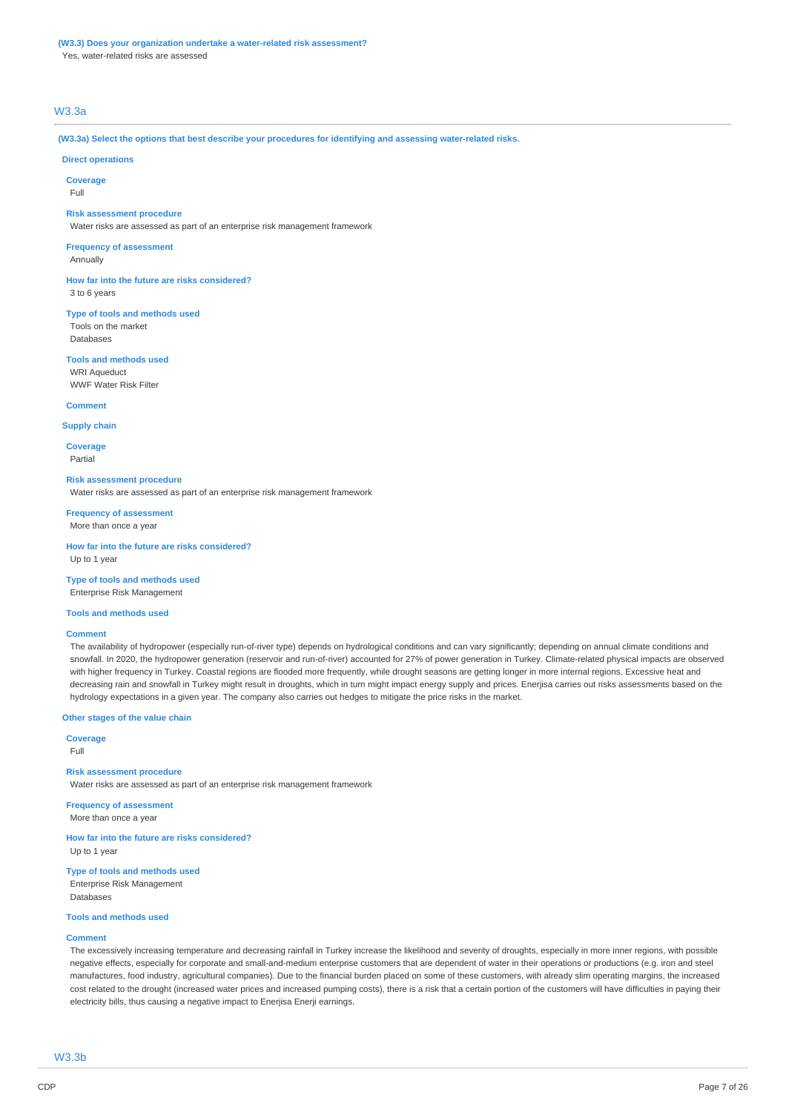## **(W3.3) Does your organization undertake a water-related risk assessment?**

Yes, water-related risks are assessed

## W3.3a

**(W3.3a) Select the options that best describe your procedures for identifying and assessing water-related risks.**

### **Direct operations**

**Coverage**

Full

#### **Risk assessment procedure**

Water risks are assessed as part of an enterprise risk management framework

## **Frequency of assessment**

Annually

**How far into the future are risks considered?** 3 to 6 years

**Type of tools and methods used** Tools on the market Databases

#### **Tools and methods used**

WRI Aqueduct WWF Water Risk Filter

#### **Comment**

**Supply chain**

**Coverage** Partial

#### **Risk assessment procedure**

Water risks are assessed as part of an enterprise risk management framework

**Frequency of assessment** More than once a year

**How far into the future are risks considered?** Up to 1 year

**Type of tools and methods used** Enterprise Risk Management

### **Tools and methods used**

#### **Comment**

The availability of hydropower (especially run-of-river type) depends on hydrological conditions and can vary significantly; depending on annual climate conditions and snowfall. In 2020, the hydropower generation (reservoir and run-of-river) accounted for 27% of power generation in Turkey. Climate-related physical impacts are observed with higher frequency in Turkey. Coastal regions are flooded more frequently, while drought seasons are getting longer in more internal regions. Excessive heat and decreasing rain and snowfall in Turkey might result in droughts, which in turn might impact energy supply and prices. Enerjisa carries out risks assessments based on the hydrology expectations in a given year. The company also carries out hedges to mitigate the price risks in the market.

#### **Other stages of the value chain**

**Coverage**

Full

### **Risk assessment procedure**

Water risks are assessed as part of an enterprise risk management framework

**Frequency of assessment** More than once a year

**How far into the future are risks considered?** Up to 1 year

**Type of tools and methods used** Enterprise Risk Management Databases

#### **Tools and methods used**

#### **Comment**

The excessively increasing temperature and decreasing rainfall in Turkey increase the likelihood and severity of droughts, especially in more inner regions, with possible negative effects, especially for corporate and small-and-medium enterprise customers that are dependent of water in their operations or productions (e.g. iron and steel manufactures, food industry, agricultural companies). Due to the financial burden placed on some of these customers, with already slim operating margins, the increased cost related to the drought (increased water prices and increased pumping costs), there is a risk that a certain portion of the customers will have difficulties in paying their electricity bills, thus causing a negative impact to Enerjisa Enerji earnings.

W3.3b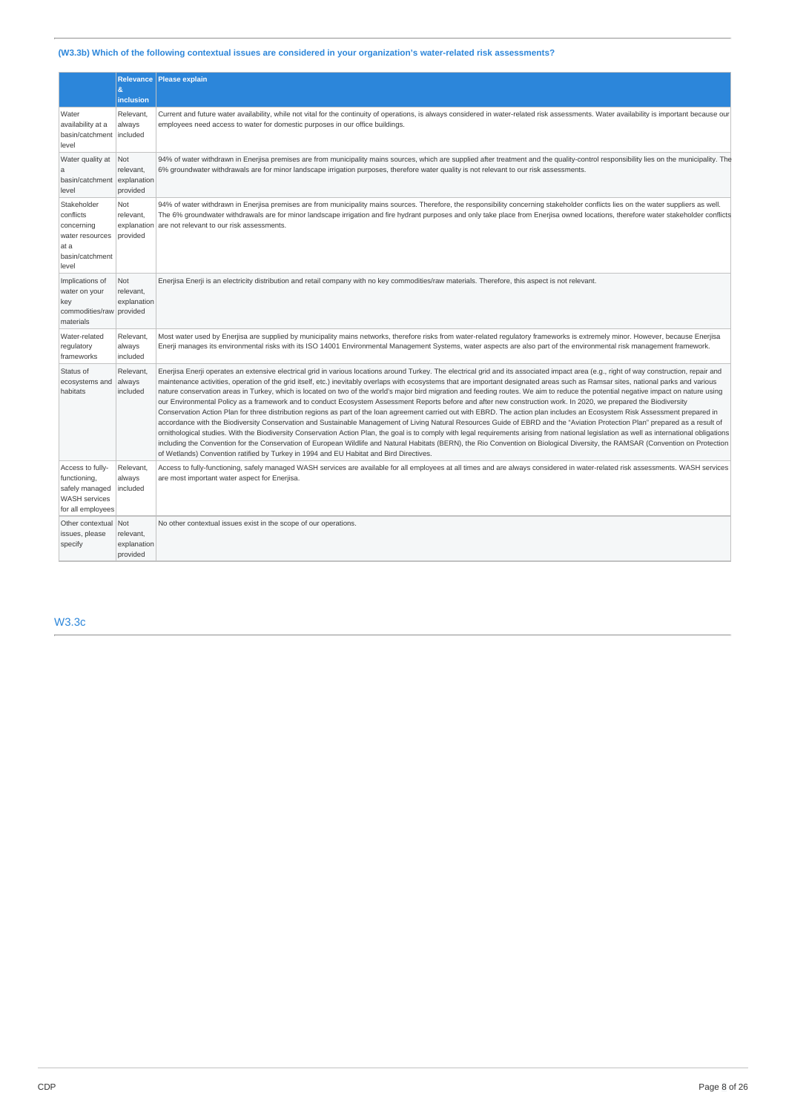## **(W3.3b) Which of the following contextual issues are considered in your organization's water-related risk assessments?**

|                                                                                                 | <b>Relevance</b><br>8                              | <b>Please explain</b>                                                                                                                                                                                                                                                                                                                                                                                                                                                                                                                                                                                                                                                                                                                                                                                                                                                                                                                                                                                                                                                                                                                                                                                                                                                                                                                                                                                                                                                                                                                                                                          |
|-------------------------------------------------------------------------------------------------|----------------------------------------------------|------------------------------------------------------------------------------------------------------------------------------------------------------------------------------------------------------------------------------------------------------------------------------------------------------------------------------------------------------------------------------------------------------------------------------------------------------------------------------------------------------------------------------------------------------------------------------------------------------------------------------------------------------------------------------------------------------------------------------------------------------------------------------------------------------------------------------------------------------------------------------------------------------------------------------------------------------------------------------------------------------------------------------------------------------------------------------------------------------------------------------------------------------------------------------------------------------------------------------------------------------------------------------------------------------------------------------------------------------------------------------------------------------------------------------------------------------------------------------------------------------------------------------------------------------------------------------------------------|
| Water<br>availability at a<br>basin/catchment<br>level                                          | inclusion<br>Relevant.<br>always<br>included       | Current and future water availability, while not vital for the continuity of operations, is always considered in water-related risk assessments. Water availability is important because our<br>employees need access to water for domestic purposes in our office buildings.                                                                                                                                                                                                                                                                                                                                                                                                                                                                                                                                                                                                                                                                                                                                                                                                                                                                                                                                                                                                                                                                                                                                                                                                                                                                                                                  |
| Water quality at<br>a<br>basin/catchment<br>level                                               | Not<br>relevant.<br>explanation<br>provided        | 94% of water withdrawn in Enerjisa premises are from municipality mains sources, which are supplied after treatment and the quality-control responsibility lies on the municipality. The<br>6% groundwater withdrawals are for minor landscape irrigation purposes, therefore water quality is not relevant to our risk assessments.                                                                                                                                                                                                                                                                                                                                                                                                                                                                                                                                                                                                                                                                                                                                                                                                                                                                                                                                                                                                                                                                                                                                                                                                                                                           |
| Stakeholder<br>conflicts<br>concerning<br>water resources<br>at a<br>basin/catchment<br>level   | Not<br>relevant,<br>explanation<br>provided        | 94% of water withdrawn in Enerjisa premises are from municipality mains sources. Therefore, the responsibility concerning stakeholder conflicts lies on the water suppliers as well.<br>The 6% groundwater withdrawals are for minor landscape irrigation and fire hydrant purposes and only take place from Enerjisa owned locations, therefore water stakeholder conflicts<br>are not relevant to our risk assessments.                                                                                                                                                                                                                                                                                                                                                                                                                                                                                                                                                                                                                                                                                                                                                                                                                                                                                                                                                                                                                                                                                                                                                                      |
| Implications of<br>water on your<br>key<br>commodities/raw<br>materials                         | <b>Not</b><br>relevant,<br>explanation<br>provided | Enerjisa Enerji is an electricity distribution and retail company with no key commodities/raw materials. Therefore, this aspect is not relevant.                                                                                                                                                                                                                                                                                                                                                                                                                                                                                                                                                                                                                                                                                                                                                                                                                                                                                                                                                                                                                                                                                                                                                                                                                                                                                                                                                                                                                                               |
| Water-related<br>regulatory<br>frameworks                                                       | Relevant,<br>always<br>included                    | Most water used by Enerjisa are supplied by municipality mains networks, therefore risks from water-related regulatory frameworks is extremely minor. However, because Enerjisa<br>Enerji manages its environmental risks with its ISO 14001 Environmental Management Systems, water aspects are also part of the environmental risk management framework.                                                                                                                                                                                                                                                                                                                                                                                                                                                                                                                                                                                                                                                                                                                                                                                                                                                                                                                                                                                                                                                                                                                                                                                                                                     |
| Status of<br>ecosystems and<br>habitats                                                         | Relevant,<br>always<br>included                    | Enerjisa Enerji operates an extensive electrical grid in various locations around Turkey. The electrical grid and its associated impact area (e.g., right of way construction, repair and<br>maintenance activities, operation of the grid itself, etc.) inevitably overlaps with ecosystems that are important designated areas such as Ramsar sites, national parks and various<br>nature conservation areas in Turkey, which is located on two of the world's major bird migration and feeding routes. We aim to reduce the potential negative impact on nature using<br>our Environmental Policy as a framework and to conduct Ecosystem Assessment Reports before and after new construction work. In 2020, we prepared the Biodiversity<br>Conservation Action Plan for three distribution regions as part of the loan agreement carried out with EBRD. The action plan includes an Ecosystem Risk Assessment prepared in<br>accordance with the Biodiversity Conservation and Sustainable Management of Living Natural Resources Guide of EBRD and the "Aviation Protection Plan" prepared as a result of<br>ornithological studies. With the Biodiversity Conservation Action Plan, the goal is to comply with legal requirements arising from national legislation as well as international obligations<br>including the Convention for the Conservation of European Wildlife and Natural Habitats (BERN), the Rio Convention on Biological Diversity, the RAMSAR (Convention on Protection<br>of Wetlands) Convention ratified by Turkey in 1994 and EU Habitat and Bird Directives. |
| Access to fully-<br>functioning,<br>safely managed<br><b>WASH</b> services<br>for all employees | Relevant,<br>always<br>included                    | Access to fully-functioning, safely managed WASH services are available for all employees at all times and are always considered in water-related risk assessments. WASH services<br>are most important water aspect for Enerjisa.                                                                                                                                                                                                                                                                                                                                                                                                                                                                                                                                                                                                                                                                                                                                                                                                                                                                                                                                                                                                                                                                                                                                                                                                                                                                                                                                                             |
| Other contextual<br>issues, please<br>specify                                                   | Not<br>relevant,<br>explanation<br>provided        | No other contextual issues exist in the scope of our operations.                                                                                                                                                                                                                                                                                                                                                                                                                                                                                                                                                                                                                                                                                                                                                                                                                                                                                                                                                                                                                                                                                                                                                                                                                                                                                                                                                                                                                                                                                                                               |

## W3.3c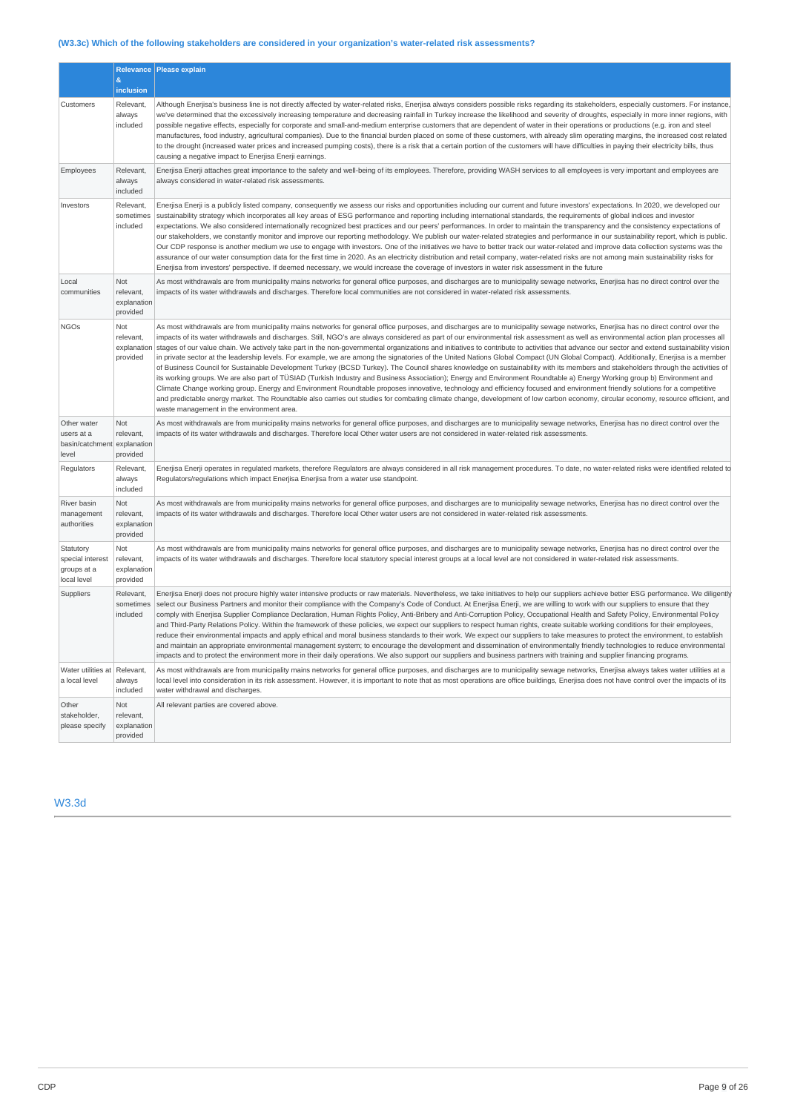## **(W3.3c) Which of the following stakeholders are considered in your organization's water-related risk assessments?**

|                                                             | &<br>inclusion                                     | Relevance Please explain                                                                                                                                                                                                                                                                                                                                                                                                                                                                                                                                                                                                                                                                                                                                                                                                                                                                                                                                                                                                                                                                                                                                                                                                                                                                                                                                                                                                                                                                                                                       |
|-------------------------------------------------------------|----------------------------------------------------|------------------------------------------------------------------------------------------------------------------------------------------------------------------------------------------------------------------------------------------------------------------------------------------------------------------------------------------------------------------------------------------------------------------------------------------------------------------------------------------------------------------------------------------------------------------------------------------------------------------------------------------------------------------------------------------------------------------------------------------------------------------------------------------------------------------------------------------------------------------------------------------------------------------------------------------------------------------------------------------------------------------------------------------------------------------------------------------------------------------------------------------------------------------------------------------------------------------------------------------------------------------------------------------------------------------------------------------------------------------------------------------------------------------------------------------------------------------------------------------------------------------------------------------------|
| Customers                                                   | Relevant,<br>always<br>included                    | Although Enerjisa's business line is not directly affected by water-related risks, Enerjisa always considers possible risks regarding its stakeholders, especially customers. For instance,<br>we've determined that the excessively increasing temperature and decreasing rainfall in Turkey increase the likelihood and severity of droughts, especially in more inner regions, with<br>possible negative effects, especially for corporate and small-and-medium enterprise customers that are dependent of water in their operations or productions (e.g. iron and steel<br>manufactures, food industry, agricultural companies). Due to the financial burden placed on some of these customers, with already slim operating margins, the increased cost related<br>to the drought (increased water prices and increased pumping costs), there is a risk that a certain portion of the customers will have difficulties in paying their electricity bills, thus<br>causing a negative impact to Enerjisa Enerji earnings.                                                                                                                                                                                                                                                                                                                                                                                                                                                                                                                   |
| Employees                                                   | Relevant,<br>always<br>included                    | Enerjisa Enerji attaches great importance to the safety and well-being of its employees. Therefore, providing WASH services to all employees is very important and employees are<br>always considered in water-related risk assessments.                                                                                                                                                                                                                                                                                                                                                                                                                                                                                                                                                                                                                                                                                                                                                                                                                                                                                                                                                                                                                                                                                                                                                                                                                                                                                                       |
| Investors                                                   | Relevant,<br>sometimes<br>included                 | Enerjisa Enerji is a publicly listed company, consequently we assess our risks and opportunities including our current and future investors' expectations. In 2020, we developed our<br>sustainability strategy which incorporates all key areas of ESG performance and reporting including international standards, the requirements of global indices and investor<br>expectations. We also considered internationally recognized best practices and our peers' performances. In order to maintain the transparency and the consistency expectations of<br>our stakeholders, we constantly monitor and improve our reporting methodology. We publish our water-related strategies and performance in our sustainability report, which is public.<br>Our CDP response is another medium we use to engage with investors. One of the initiatives we have to better track our water-related and improve data collection systems was the<br>assurance of our water consumption data for the first time in 2020. As an electricity distribution and retail company, water-related risks are not among main sustainability risks for<br>Enerjisa from investors' perspective. If deemed necessary, we would increase the coverage of investors in water risk assessment in the future                                                                                                                                                                                                                                                              |
| Local<br>communities                                        | Not<br>relevant,<br>explanation<br>provided        | As most withdrawals are from municipality mains networks for general office purposes, and discharges are to municipality sewage networks, Enerjisa has no direct control over the<br>impacts of its water withdrawals and discharges. Therefore local communities are not considered in water-related risk assessments.                                                                                                                                                                                                                                                                                                                                                                                                                                                                                                                                                                                                                                                                                                                                                                                                                                                                                                                                                                                                                                                                                                                                                                                                                        |
| <b>NGOs</b>                                                 | Not<br>relevant,<br>explanation<br>provided        | As most withdrawals are from municipality mains networks for general office purposes, and discharges are to municipality sewage networks, Enerjisa has no direct control over the<br>impacts of its water withdrawals and discharges. Still, NGO's are always considered as part of our environmental risk assessment as well as environmental action plan processes all<br>stages of our value chain. We actively take part in the non-governmental organizations and initiatives to contribute to activities that advance our sector and extend sustainability vision<br>in private sector at the leadership levels. For example, we are among the signatories of the United Nations Global Compact (UN Global Compact). Additionally, Enerjisa is a member<br>of Business Council for Sustainable Development Turkey (BCSD Turkey). The Council shares knowledge on sustainability with its members and stakeholders through the activities of<br>its working groups. We are also part of TÜSIAD (Turkish Industry and Business Association); Energy and Environment Roundtable a) Energy Working group b) Environment and<br>Climate Change working group. Energy and Environment Roundtable proposes innovative, technology and efficiency focused and environment friendly solutions for a competitive<br>and predictable energy market. The Roundtable also carries out studies for combating climate change, development of low carbon economy, circular economy, resource efficient, and<br>waste management in the environment area. |
| Other water<br>users at a<br>basin/catchment<br>level       | <b>Not</b><br>relevant,<br>explanation<br>provided | As most withdrawals are from municipality mains networks for general office purposes, and discharges are to municipality sewage networks, Enerjisa has no direct control over the<br>impacts of its water withdrawals and discharges. Therefore local Other water users are not considered in water-related risk assessments.                                                                                                                                                                                                                                                                                                                                                                                                                                                                                                                                                                                                                                                                                                                                                                                                                                                                                                                                                                                                                                                                                                                                                                                                                  |
| Regulators                                                  | Relevant,<br>always<br>included                    | Enerjisa Enerji operates in regulated markets, therefore Regulators are always considered in all risk management procedures. To date, no water-related risks were identified related to<br>Requlators/requlations which impact Enerjisa Enerjisa from a water use standpoint.                                                                                                                                                                                                                                                                                                                                                                                                                                                                                                                                                                                                                                                                                                                                                                                                                                                                                                                                                                                                                                                                                                                                                                                                                                                                  |
| River basin<br>management<br>authorities                    | Not<br>relevant.<br>explanation<br>provided        | As most withdrawals are from municipality mains networks for general office purposes, and discharges are to municipality sewage networks, Enerjisa has no direct control over the<br>impacts of its water withdrawals and discharges. Therefore local Other water users are not considered in water-related risk assessments.                                                                                                                                                                                                                                                                                                                                                                                                                                                                                                                                                                                                                                                                                                                                                                                                                                                                                                                                                                                                                                                                                                                                                                                                                  |
| Statutory<br>special interest<br>groups at a<br>local level | Not<br>relevant,<br>explanation<br>provided        | As most withdrawals are from municipality mains networks for general office purposes, and discharges are to municipality sewage networks, Enerjisa has no direct control over the<br>impacts of its water withdrawals and discharges. Therefore local statutory special interest groups at a local level are not considered in water-related risk assessments.                                                                                                                                                                                                                                                                                                                                                                                                                                                                                                                                                                                                                                                                                                                                                                                                                                                                                                                                                                                                                                                                                                                                                                                 |
| Suppliers                                                   | Relevant,<br>sometimes<br>included                 | Enerjisa Enerji does not procure highly water intensive products or raw materials. Nevertheless, we take initiatives to help our suppliers achieve better ESG performance. We diligently<br>select our Business Partners and monitor their compliance with the Company's Code of Conduct. At Enerjisa Enerji, we are willing to work with our suppliers to ensure that they<br>comply with Enerjisa Supplier Compliance Declaration, Human Rights Policy, Anti-Bribery and Anti-Corruption Policy, Occupational Health and Safety Policy, Environmental Policy<br>and Third-Party Relations Policy. Within the framework of these policies, we expect our suppliers to respect human rights, create suitable working conditions for their employees,<br>reduce their environmental impacts and apply ethical and moral business standards to their work. We expect our suppliers to take measures to protect the environment, to establish<br>and maintain an appropriate environmental management system; to encourage the development and dissemination of environmentally friendly technologies to reduce environmental<br>impacts and to protect the environment more in their daily operations. We also support our suppliers and business partners with training and supplier financing programs.                                                                                                                                                                                                                                        |
| Water utilities at<br>a local level                         | Relevant,<br>always<br>included                    | As most withdrawals are from municipality mains networks for general office purposes, and discharges are to municipality sewage networks, Enerjisa always takes water utilities at a<br>local level into consideration in its risk assessment. However, it is important to note that as most operations are office buildings, Enerjisa does not have control over the impacts of its<br>water withdrawal and discharges.                                                                                                                                                                                                                                                                                                                                                                                                                                                                                                                                                                                                                                                                                                                                                                                                                                                                                                                                                                                                                                                                                                                       |
| Other<br>stakeholder,<br>please specify                     | Not<br>relevant,<br>explanation<br>provided        | All relevant parties are covered above.                                                                                                                                                                                                                                                                                                                                                                                                                                                                                                                                                                                                                                                                                                                                                                                                                                                                                                                                                                                                                                                                                                                                                                                                                                                                                                                                                                                                                                                                                                        |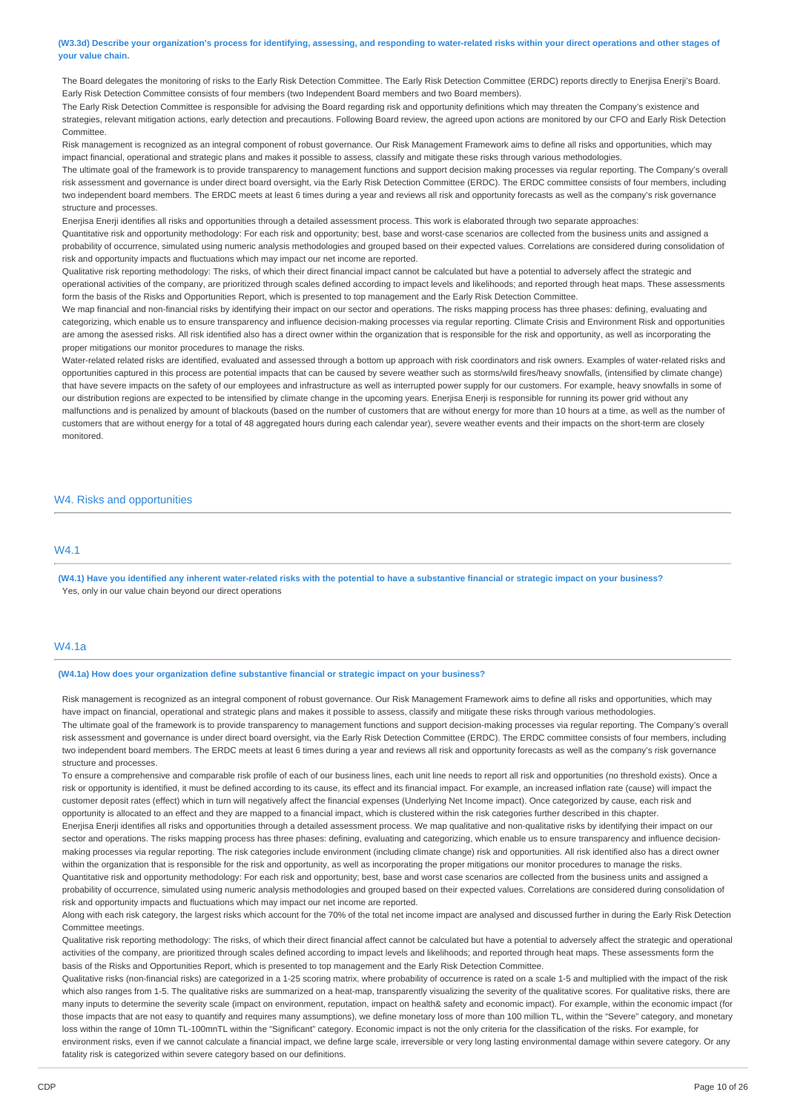(W3.3d) Describe your organization's process for identifying, assessing, and responding to water-related risks within your direct operations and other stages of **your value chain.**

The Board delegates the monitoring of risks to the Early Risk Detection Committee. The Early Risk Detection Committee (ERDC) reports directly to Enerjisa Enerji's Board. Early Risk Detection Committee consists of four members (two Independent Board members and two Board members).

The Early Risk Detection Committee is responsible for advising the Board regarding risk and opportunity definitions which may threaten the Company's existence and strategies, relevant mitigation actions, early detection and precautions. Following Board review, the agreed upon actions are monitored by our CFO and Early Risk Detection Committee.

Risk management is recognized as an integral component of robust governance. Our Risk Management Framework aims to define all risks and opportunities, which may impact financial, operational and strategic plans and makes it possible to assess, classify and mitigate these risks through various methodologies.

The ultimate goal of the framework is to provide transparency to management functions and support decision making processes via regular reporting. The Company's overall risk assessment and governance is under direct board oversight, via the Early Risk Detection Committee (ERDC). The ERDC committee consists of four members, including two independent board members. The ERDC meets at least 6 times during a year and reviews all risk and opportunity forecasts as well as the company's risk governance structure and processes.

Enerjisa Enerji identifies all risks and opportunities through a detailed assessment process. This work is elaborated through two separate approaches:

Quantitative risk and opportunity methodology: For each risk and opportunity; best, base and worst-case scenarios are collected from the business units and assigned a probability of occurrence, simulated using numeric analysis methodologies and grouped based on their expected values. Correlations are considered during consolidation of risk and opportunity impacts and fluctuations which may impact our net income are reported.

Qualitative risk reporting methodology: The risks, of which their direct financial impact cannot be calculated but have a potential to adversely affect the strategic and operational activities of the company, are prioritized through scales defined according to impact levels and likelihoods; and reported through heat maps. These assessments form the basis of the Risks and Opportunities Report, which is presented to top management and the Early Risk Detection Committee.

We map financial and non-financial risks by identifying their impact on our sector and operations. The risks mapping process has three phases: defining, evaluating and categorizing, which enable us to ensure transparency and influence decision-making processes via regular reporting. Climate Crisis and Environment Risk and opportunities are among the asessed risks. All risk identified also has a direct owner within the organization that is responsible for the risk and opportunity, as well as incorporating the proper mitigations our monitor procedures to manage the risks.

Water-related related risks are identified, evaluated and assessed through a bottom up approach with risk coordinators and risk owners. Examples of water-related risks and opportunities captured in this process are potential impacts that can be caused by severe weather such as storms/wild fires/heavy snowfalls, (intensified by climate change) that have severe impacts on the safety of our employees and infrastructure as well as interrupted power supply for our customers. For example, heavy snowfalls in some of our distribution regions are expected to be intensified by climate change in the upcoming years. Enerjisa Enerji is responsible for running its power grid without any malfunctions and is penalized by amount of blackouts (based on the number of customers that are without energy for more than 10 hours at a time, as well as the number of customers that are without energy for a total of 48 aggregated hours during each calendar year), severe weather events and their impacts on the short-term are closely monitored.

## W4. Risks and opportunities

### **MA1**

(W4.1) Have you identified any inherent water-related risks with the potential to have a substantive financial or strategic impact on your business? Yes, only in our value chain beyond our direct operations

### W4.1a

#### **(W4.1a) How does your organization define substantive financial or strategic impact on your business?**

Risk management is recognized as an integral component of robust governance. Our Risk Management Framework aims to define all risks and opportunities, which may have impact on financial, operational and strategic plans and makes it possible to assess, classify and mitigate these risks through various methodologies. The ultimate goal of the framework is to provide transparency to management functions and support decision-making processes via regular reporting. The Company's overall risk assessment and governance is under direct board oversight, via the Early Risk Detection Committee (ERDC). The ERDC committee consists of four members, including two independent board members. The ERDC meets at least 6 times during a year and reviews all risk and opportunity forecasts as well as the company's risk governance structure and processes.

To ensure a comprehensive and comparable risk profile of each of our business lines, each unit line needs to report all risk and opportunities (no threshold exists). Once a risk or opportunity is identified, it must be defined according to its cause, its effect and its financial impact. For example, an increased inflation rate (cause) will impact the customer deposit rates (effect) which in turn will negatively affect the financial expenses (Underlying Net Income impact). Once categorized by cause, each risk and opportunity is allocated to an effect and they are mapped to a financial impact, which is clustered within the risk categories further described in this chapter. Enerjisa Enerji identifies all risks and opportunities through a detailed assessment process. We map qualitative and non-qualitative risks by identifying their impact on our sector and operations. The risks mapping process has three phases: defining, evaluating and categorizing, which enable us to ensure transparency and influence decisionmaking processes via regular reporting. The risk categories include environment (including climate change) risk and opportunities. All risk identified also has a direct owner within the organization that is responsible for the risk and opportunity, as well as incorporating the proper mitigations our monitor procedures to manage the risks. Quantitative risk and opportunity methodology: For each risk and opportunity; best, base and worst case scenarios are collected from the business units and assigned a probability of occurrence, simulated using numeric analysis methodologies and grouped based on their expected values. Correlations are considered during consolidation of

risk and opportunity impacts and fluctuations which may impact our net income are reported. Along with each risk category, the largest risks which account for the 70% of the total net income impact are analysed and discussed further in during the Early Risk Detection Committee meetings.

Qualitative risk reporting methodology: The risks, of which their direct financial affect cannot be calculated but have a potential to adversely affect the strategic and operational activities of the company, are prioritized through scales defined according to impact levels and likelihoods; and reported through heat maps. These assessments form the basis of the Risks and Opportunities Report, which is presented to top management and the Early Risk Detection Committee.

Qualitative risks (non-financial risks) are categorized in a 1-25 scoring matrix, where probability of occurrence is rated on a scale 1-5 and multiplied with the impact of the risk which also ranges from 1-5. The qualitative risks are summarized on a heat-map, transparently visualizing the severity of the qualitative scores. For qualitative risks, there are many inputs to determine the severity scale (impact on environment, reputation, impact on health& safety and economic impact). For example, within the economic impact (for those impacts that are not easy to quantify and requires many assumptions), we define monetary loss of more than 100 million TL, within the "Severe" category, and monetary loss within the range of 10mn TL-100mnTL within the "Significant" category. Economic impact is not the only criteria for the classification of the risks. For example, for environment risks, even if we cannot calculate a financial impact, we define large scale, irreversible or very long lasting environmental damage within severe category. Or any fatality risk is categorized within severe category based on our definitions.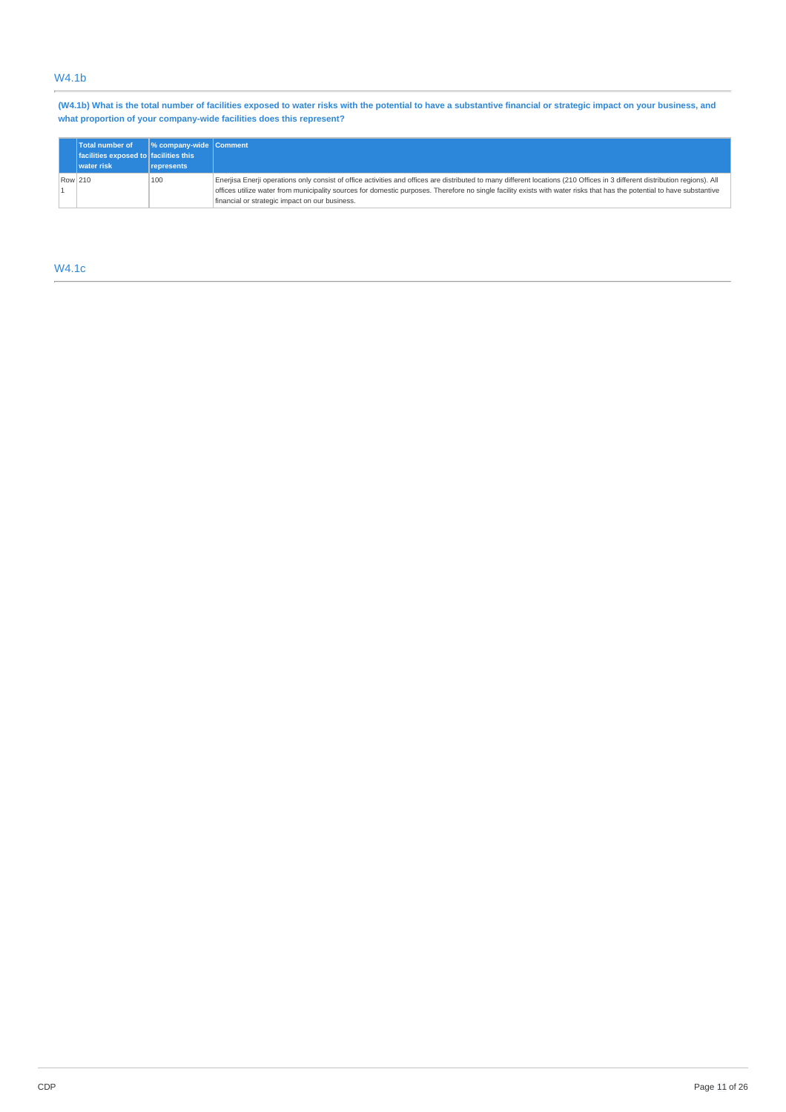## W4.1b

(W4.1b) What is the total number of facilities exposed to water risks with the potential to have a substantive financial or strategic impact on your business, and **what proportion of your company-wide facilities does this represent?**

|         | Total number of<br>facilities exposed to facilities this<br>water risk | $\frac{1}{2}$ company-wide Comment<br><i><u><b>I</b></u></i> represents |                                                                                                                                                                                                                                                                                                                                                                                                         |
|---------|------------------------------------------------------------------------|-------------------------------------------------------------------------|---------------------------------------------------------------------------------------------------------------------------------------------------------------------------------------------------------------------------------------------------------------------------------------------------------------------------------------------------------------------------------------------------------|
| Row 210 |                                                                        | 100                                                                     | Enerjisa Enerji operations only consist of office activities and offices are distributed to many different locations (210 Offices in 3 different distribution regions). All<br>offices utilize water from municipality sources for domestic purposes. Therefore no single facility exists with water risks that has the potential to have substantive<br>financial or strategic impact on our business. |

## W4.1c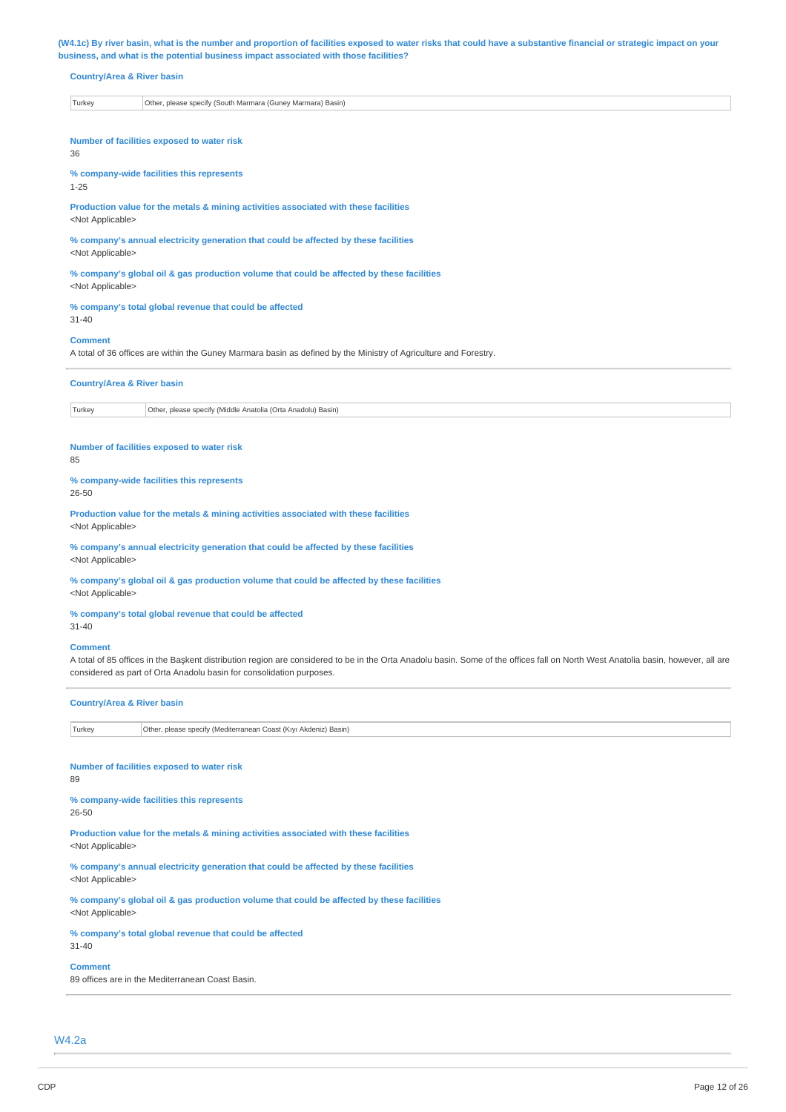(W4.1c) By river basin, what is the number and proportion of facilities exposed to water risks that could have a substantive financial or strategic impact on your **business, and what is the potential business impact associated with those facilities?**

### **Country/Area & River basin**

| Turkev | ' Marmara) Basin)<br>Other<br>. please specify (South Marmara (Gunev |
|--------|----------------------------------------------------------------------|
|--------|----------------------------------------------------------------------|

**Number of facilities exposed to water risk** 36

#### **% company-wide facilities this represents**

1-25

**Production value for the metals & mining activities associated with these facilities** <Not Applicable>

**% company's annual electricity generation that could be affected by these facilities** <Not Applicable>

**% company's global oil & gas production volume that could be affected by these facilities** <Not Applicable>

#### **% company's total global revenue that could be affected**

31-40

#### **Comment**

A total of 36 offices are within the Guney Marmara basin as defined by the Ministry of Agriculture and Forestry.

|        | <b>Country/Area &amp; River basin</b>                        |  |  |
|--------|--------------------------------------------------------------|--|--|
| Turkey | Other, please specify (Middle Anatolia (Orta Anadolu) Basin) |  |  |

#### **Number of facilities exposed to water risk** 85

**% company-wide facilities this represents** 26-50

**Production value for the metals & mining activities associated with these facilities** <Not Applicable>

**% company's annual electricity generation that could be affected by these facilities** <Not Applicable>

**% company's global oil & gas production volume that could be affected by these facilities** <Not Applicable>

**% company's total global revenue that could be affected** 31-40

#### **Comment**

A total of 85 offices in the Başkent distribution region are considered to be in the Orta Anadolu basin. Some of the offices fall on North West Anatolia basin, however, all are considered as part of Orta Anadolu basin for consolidation purposes.

#### **Country/Area & River basin**

Turkey Other, please specify (Mediterranean Coast (Kıyı Akdeniz) Basin)

#### **Number of facilities exposed to water risk**

89

# **% company-wide facilities this represents**

26-50

**Production value for the metals & mining activities associated with these facilities**

<Not Applicable>

**% company's annual electricity generation that could be affected by these facilities** <Not Applicable>

**% company's global oil & gas production volume that could be affected by these facilities** <Not Applicable>

#### **% company's total global revenue that could be affected**

## **Comment**

31-40

89 offices are in the Mediterranean Coast Basin.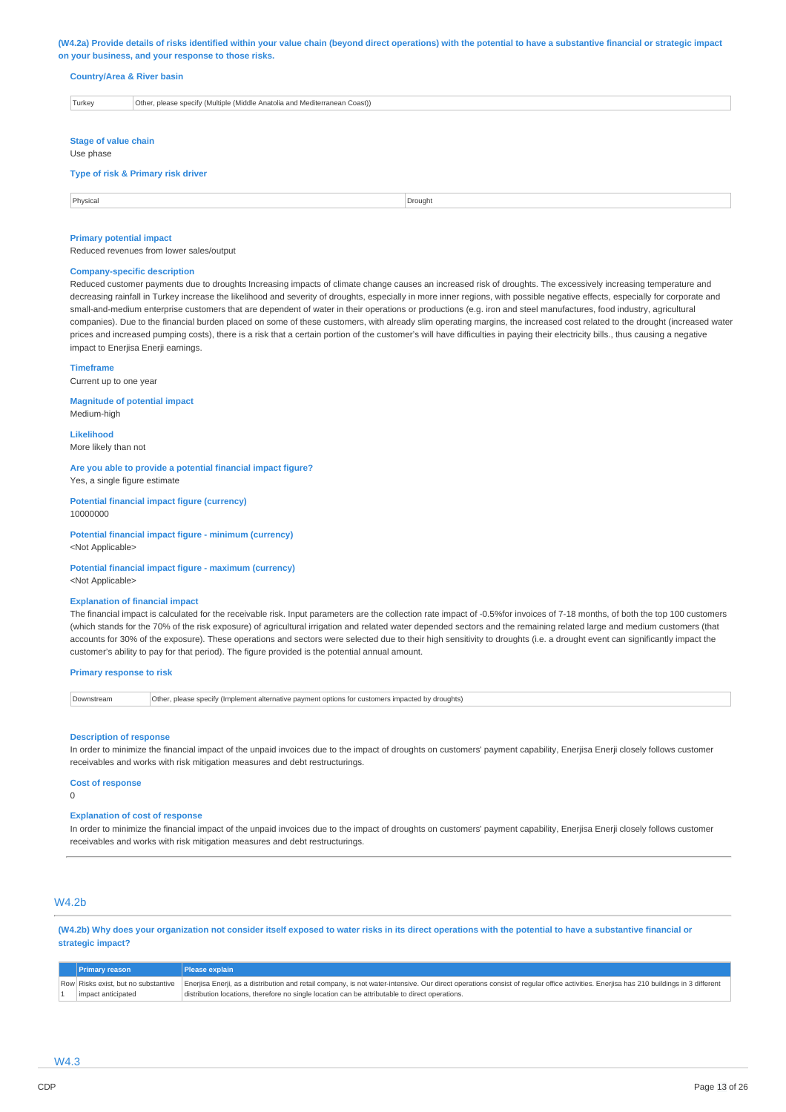(W4.2a) Provide details of risks identified within your value chain (beyond direct operations) with the potential to have a substantive financial or strategic impact **on your business, and your response to those risks.**

#### **Country/Area & River basin**

| Turkey                      | Other, please specify (Multiple (Middle Anatolia and Mediterranean Coast)) |  |
|-----------------------------|----------------------------------------------------------------------------|--|
|                             |                                                                            |  |
| <b>Stage of value chain</b> |                                                                            |  |

#### Use phase

#### **Type of risk & Primary risk driver**

Physical Drought **Drought** Drought **Drought Drought Drought Drought Drought** 

#### **Primary potential impact**

Reduced revenues from lower sales/output

#### **Company-specific description**

Reduced customer payments due to droughts Increasing impacts of climate change causes an increased risk of droughts. The excessively increasing temperature and decreasing rainfall in Turkey increase the likelihood and severity of droughts, especially in more inner regions, with possible negative effects, especially for corporate and small-and-medium enterprise customers that are dependent of water in their operations or productions (e.g. iron and steel manufactures, food industry, agricultural companies). Due to the financial burden placed on some of these customers, with already slim operating margins, the increased cost related to the drought (increased water prices and increased pumping costs), there is a risk that a certain portion of the customer's will have difficulties in paying their electricity bills., thus causing a negative impact to Enerjisa Enerji earnings.

#### **Timeframe**

Current up to one year

**Magnitude of potential impact** Medium-high

**Likelihood** More likely than not

**Are you able to provide a potential financial impact figure?** Yes, a single figure estimate

**Potential financial impact figure (currency)** 10000000

**Potential financial impact figure - minimum (currency)** <Not Applicable>

**Potential financial impact figure - maximum (currency)** <Not Applicable>

#### **Explanation of financial impact**

The financial impact is calculated for the receivable risk. Input parameters are the collection rate impact of -0.5%for invoices of 7-18 months, of both the top 100 customers (which stands for the 70% of the risk exposure) of agricultural irrigation and related water depended sectors and the remaining related large and medium customers (that accounts for 30% of the exposure). These operations and sectors were selected due to their high sensitivity to droughts (i.e. a drought event can significantly impact the customer's ability to pay for that period). The figure provided is the potential annual amount.

#### **Primary response to risk**

Downstream **Other, please specify (Implement alternative payment options for customers impacted by droughts)** 

#### **Description of response**

In order to minimize the financial impact of the unpaid invoices due to the impact of droughts on customers' payment capability, Enerjisa Enerji closely follows customer receivables and works with risk mitigation measures and debt restructurings.

#### **Cost of response**

 $\Omega$ 

#### **Explanation of cost of response**

In order to minimize the financial impact of the unpaid invoices due to the impact of droughts on customers' payment capability, Enerjisa Enerji closely follows customer receivables and works with risk mitigation measures and debt restructurings.

## W4.2b

(W4.2b) Why does your organization not consider itself exposed to water risks in its direct operations with the potential to have a substantive financial or **strategic impact?**

| <b>Primary reason</b> | <b>Please explain</b>                                                                                                                                                                                                    |
|-----------------------|--------------------------------------------------------------------------------------------------------------------------------------------------------------------------------------------------------------------------|
|                       | Row Risks exist, but no substantive Enerjisa Enerji, as a distribution and retail company, is not water-intensive. Our direct operations consist of regular office activities. Enerjisa has 210 buildings in 3 different |
| impact anticipated    | distribution locations, therefore no single location can be attributable to direct operations.                                                                                                                           |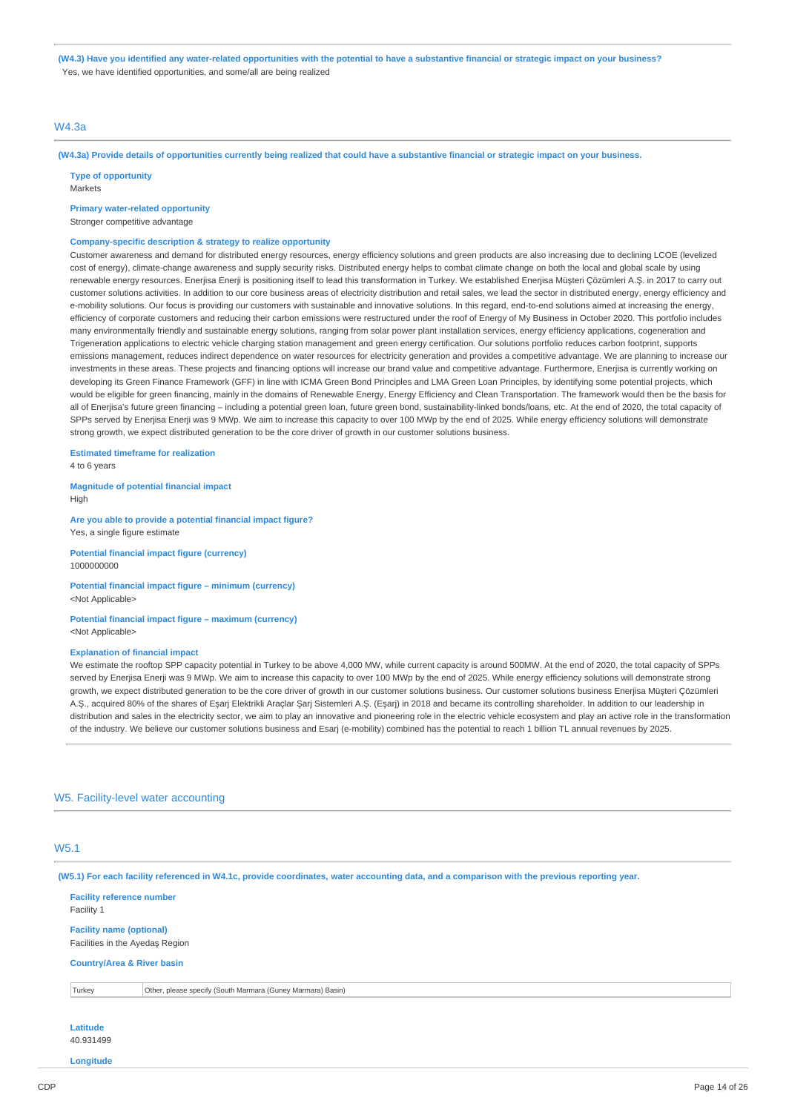(W4.3) Have you identified any water-related opportunities with the potential to have a substantive financial or strategic impact on your business? Yes, we have identified opportunities, and some/all are being realized

## W4.3a

(W4.3a) Provide details of opportunities currently being realized that could have a substantive financial or strategic impact on your business.

**Type of opportunity** Markets

### **Primary water-related opportunity**

Stronger competitive advantage

## **Company-specific description & strategy to realize opportunity**

Customer awareness and demand for distributed energy resources, energy efficiency solutions and green products are also increasing due to declining LCOE (levelized cost of energy), climate-change awareness and supply security risks. Distributed energy helps to combat climate change on both the local and global scale by using renewable energy resources. Enerjisa Enerji is positioning itself to lead this transformation in Turkey. We established Enerjisa Müşteri Çözümleri A.Ş. in 2017 to carry out customer solutions activities. In addition to our core business areas of electricity distribution and retail sales, we lead the sector in distributed energy, energy efficiency and e-mobility solutions. Our focus is providing our customers with sustainable and innovative solutions. In this regard, end-to-end solutions aimed at increasing the energy, efficiency of corporate customers and reducing their carbon emissions were restructured under the roof of Energy of My Business in October 2020. This portfolio includes many environmentally friendly and sustainable energy solutions, ranging from solar power plant installation services, energy efficiency applications, cogeneration and Trigeneration applications to electric vehicle charging station management and green energy certification. Our solutions portfolio reduces carbon footprint, supports emissions management, reduces indirect dependence on water resources for electricity generation and provides a competitive advantage. We are planning to increase our investments in these areas. These projects and financing options will increase our brand value and competitive advantage. Furthermore, Enerjisa is currently working on developing its Green Finance Framework (GFF) in line with ICMA Green Bond Principles and LMA Green Loan Principles, by identifying some potential projects, which would be eligible for green financing, mainly in the domains of Renewable Energy, Energy Efficiency and Clean Transportation. The framework would then be the basis for all of Enerjisa's future green financing – including a potential green loan, future green bond, sustainability-linked bonds/loans, etc. At the end of 2020, the total capacity of SPPs served by Enerjisa Enerji was 9 MWp. We aim to increase this capacity to over 100 MWp by the end of 2025. While energy efficiency solutions will demonstrate strong growth, we expect distributed generation to be the core driver of growth in our customer solutions business.

## **Estimated timeframe for realization**

4 to 6 years

#### **Magnitude of potential financial impact** High

**Are you able to provide a potential financial impact figure?** Yes, a single figure estimate

**Potential financial impact figure (currency)** 1000000000

### **Potential financial impact figure – minimum (currency)** <Not Applicable>

#### **Potential financial impact figure – maximum (currency)** <Not Applicable>

#### **Explanation of financial impact**

We estimate the rooftop SPP capacity potential in Turkey to be above 4,000 MW, while current capacity is around 500MW. At the end of 2020, the total capacity of SPPs served by Enerjisa Enerji was 9 MWp. We aim to increase this capacity to over 100 MWp by the end of 2025. While energy efficiency solutions will demonstrate strong growth, we expect distributed generation to be the core driver of growth in our customer solutions business. Our customer solutions business Enerjisa Müşteri Çözümleri A.Ş., acquired 80% of the shares of Eşarj Elektrikli Araçlar Şarj Sistemleri A.Ş. (Eşarj) in 2018 and became its controlling shareholder. In addition to our leadership in distribution and sales in the electricity sector, we aim to play an innovative and pioneering role in the electric vehicle ecosystem and play an active role in the transformation of the industry. We believe our customer solutions business and Esarj (e-mobility) combined has the potential to reach 1 billion TL annual revenues by 2025.

#### W5. Facility-level water accounting

## W5.1

(W5.1) For each facility referenced in W4.1c, provide coordinates, water accounting data, and a comparison with the previous reporting year.

#### **Facility reference number** Facility 1

**Facility name (optional)** Facilities in the Ayedaş Region

#### **Country/Area & River basin**

Turkey Other, please specify (South Marmara (Guney Marmara) Basin)

#### **Latitude** 40.931499

**Longitude**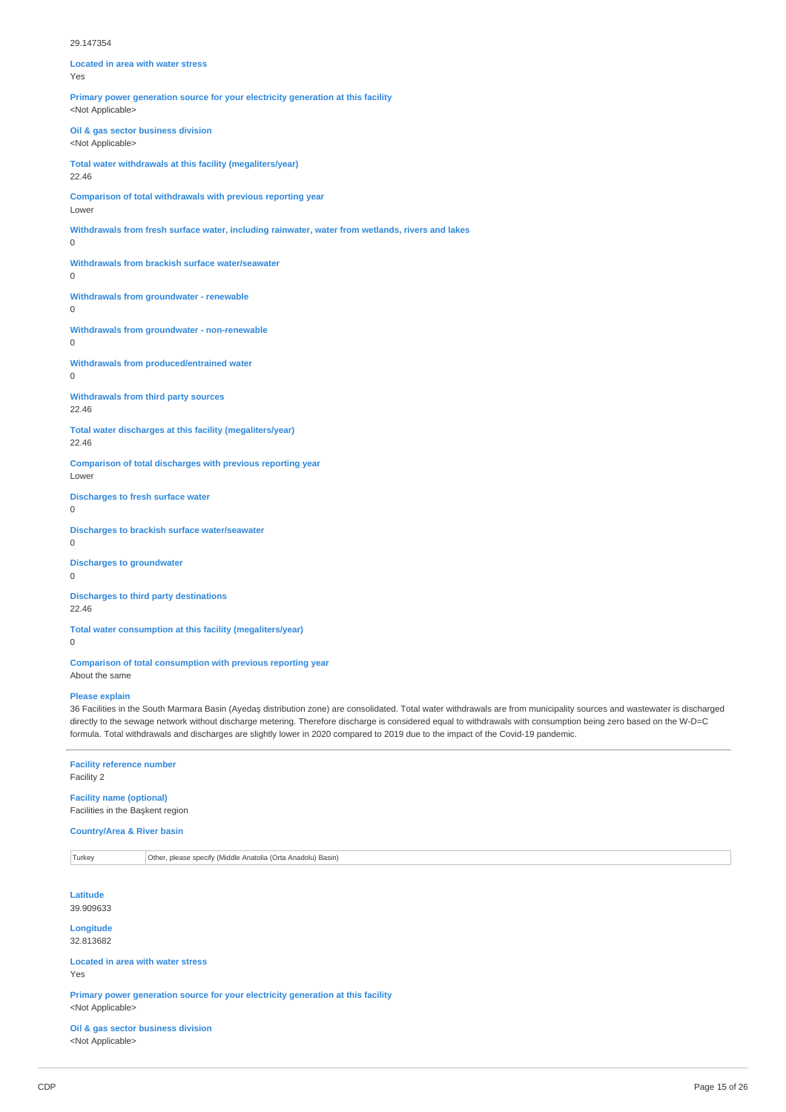#### 29.147354

| <b>Located in area with water stress</b><br>Yes                                                                 |
|-----------------------------------------------------------------------------------------------------------------|
| Primary power generation source for your electricity generation at this facility<br><not applicable=""></not>   |
| Oil & gas sector business division<br><not applicable=""></not>                                                 |
| Total water withdrawals at this facility (megaliters/year)<br>22.46                                             |
| Comparison of total withdrawals with previous reporting year<br>Lower                                           |
| Withdrawals from fresh surface water, including rainwater, water from wetlands, rivers and lakes<br>$\mathbf 0$ |
| Withdrawals from brackish surface water/seawater<br>0                                                           |
| <b>Withdrawals from groundwater - renewable</b><br>0                                                            |
| Withdrawals from groundwater - non-renewable<br>0                                                               |
| Withdrawals from produced/entrained water<br>0                                                                  |
| <b>Withdrawals from third party sources</b><br>22.46                                                            |
| Total water discharges at this facility (megaliters/year)<br>22.46                                              |
| Comparison of total discharges with previous reporting year<br>Lower                                            |
| <b>Discharges to fresh surface water</b><br>$\Omega$                                                            |
| Discharges to brackish surface water/seawater<br>$\Omega$                                                       |
| <b>Discharges to groundwater</b><br>$\Omega$                                                                    |
| <b>Discharges to third party destinations</b><br>22.46                                                          |
| Total water consumption at this facility (megaliters/year)<br>$\Omega$                                          |
| Comparison of total consumption with previous reporting year                                                    |

About the same

#### **Please explain**

36 Facilities in the South Marmara Basin (Ayedaş distribution zone) are consolidated. Total water withdrawals are from municipality sources and wastewater is discharged directly to the sewage network without discharge metering. Therefore discharge is considered equal to withdrawals with consumption being zero based on the W-D=C formula. Total withdrawals and discharges are slightly lower in 2020 compared to 2019 due to the impact of the Covid-19 pandemic.

# **Facility reference number**

Facility 2

## **Facility name (optional)** Facilities in the Başkent region

# **Country/Area & River basin**

Turkey Other, please specify (Middle Anatolia (Orta Anadolu) Basin)

**Latitude** 39.909633

**Longitude** 32.813682

#### **Located in area with water stress** Yes

**Primary power generation source for your electricity generation at this facility** <Not Applicable>

**Oil & gas sector business division** <Not Applicable>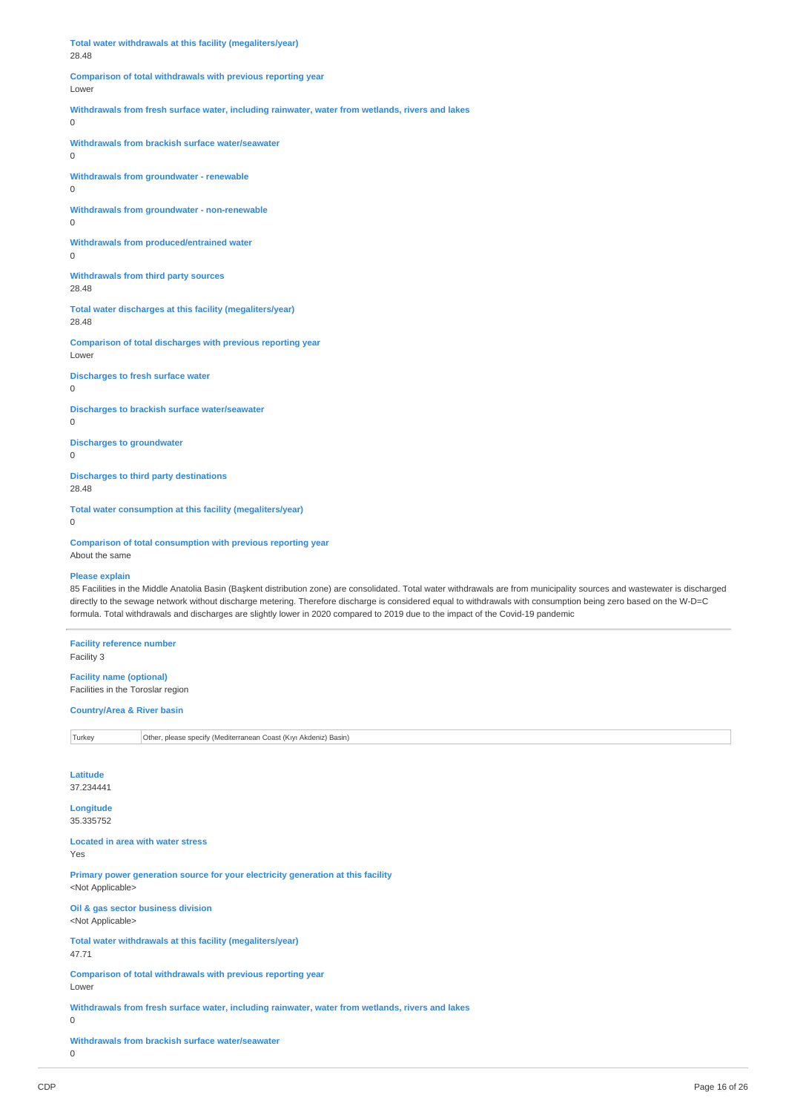**Total water withdrawals at this facility (megaliters/year)** 28.48 **Comparison of total withdrawals with previous reporting year** Lowe **Withdrawals from fresh surface water, including rainwater, water from wetlands, rivers and lakes**  $\overline{0}$ **Withdrawals from brackish surface water/seawater**  $\Omega$ **Withdrawals from groundwater - renewable** 0 **Withdrawals from groundwater - non-renewable** 0 **Withdrawals from produced/entrained water** 0 **Withdrawals from third party sources** 28.48 **Total water discharges at this facility (megaliters/year)** 28.48 **Comparison of total discharges with previous reporting year** Lower **Discharges to fresh surface water**  $\Omega$ **Discharges to brackish surface water/seawater**  $\Omega$ **Discharges to groundwater** 0 **Discharges to third party destinations** 28.48 **Total water consumption at this facility (megaliters/year)**  $\theta$ **Comparison of total consumption with previous reporting year** About the same **Please explain** 85 Facilities in the Middle Anatolia Basin (Başkent distribution zone) are consolidated. Total water withdrawals are from municipality sources and wastewater is discharged directly to the sewage network without discharge metering. Therefore discharge is considered equal to withdrawals with consumption being zero based on the W-D=C formula. Total withdrawals and discharges are slightly lower in 2020 compared to 2019 due to the impact of the Covid-19 pandemic **Facility reference number** Facility 3 **Facility name (optional)** Facilities in the Toroslar region **Country/Area & River basin**

# Turkey Other, please specify (Mediterranean Coast (Kıyı Akdeniz) Basin)

**Latitude** 37.234441

**Longitude** 35.335752

**Located in area with water stress** Yes

**Primary power generation source for your electricity generation at this facility** <Not Applicable>

**Oil & gas sector business division** <Not Applicable>

**Total water withdrawals at this facility (megaliters/year)** 47.71

**Comparison of total withdrawals with previous reporting year** Lower

**Withdrawals from fresh surface water, including rainwater, water from wetlands, rivers and lakes**

 $\overline{0}$ 

**Withdrawals from brackish surface water/seawater**

 $\overline{0}$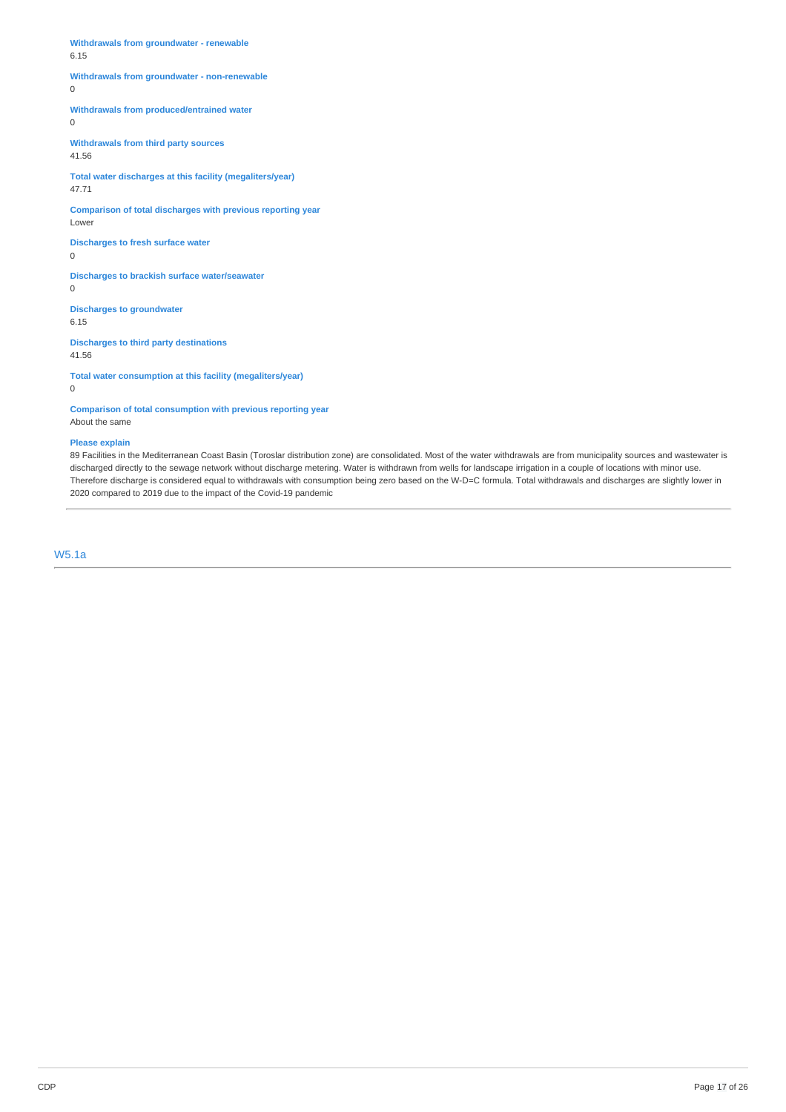**Withdrawals from groundwater - renewable** 6.15

### **Withdrawals from groundwater - non-renewable**

0

**Withdrawals from produced/entrained water**

0

**Withdrawals from third party sources**

41.56

**Total water discharges at this facility (megaliters/year)** 47.71

**Comparison of total discharges with previous reporting year** Lower

**Discharges to fresh surface water** 0

**Discharges to brackish surface water/seawater** 0

**Discharges to groundwater** 6.15

**Discharges to third party destinations** 41.56

**Total water consumption at this facility (megaliters/year)**

0

**Comparison of total consumption with previous reporting year** About the same

### **Please explain**

89 Facilities in the Mediterranean Coast Basin (Toroslar distribution zone) are consolidated. Most of the water withdrawals are from municipality sources and wastewater is discharged directly to the sewage network without discharge metering. Water is withdrawn from wells for landscape irrigation in a couple of locations with minor use. Therefore discharge is considered equal to withdrawals with consumption being zero based on the W-D=C formula. Total withdrawals and discharges are slightly lower in 2020 compared to 2019 due to the impact of the Covid-19 pandemic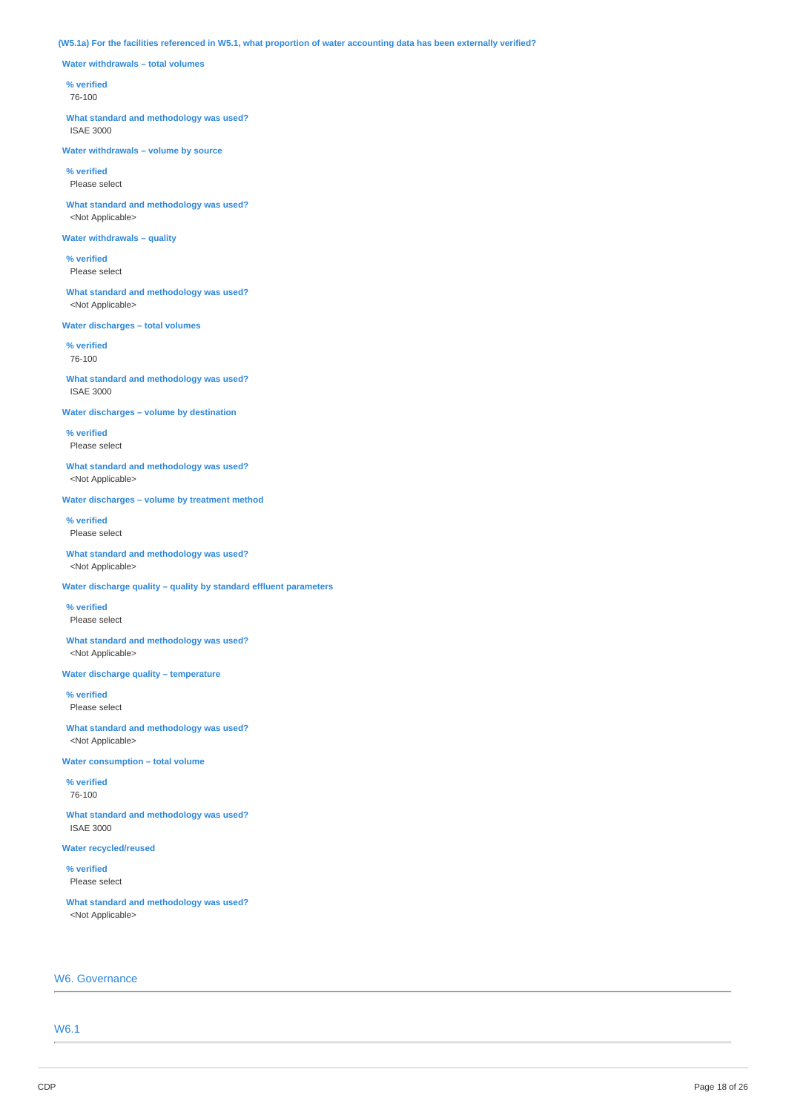### (W5.1a) For the facilities referenced in W5.1, what proportion of water accounting data has been externally verified?

**Water withdrawals – total volumes**

#### **% verified**

76-100

**What standard and methodology was used?** ISAE 3000

**Water withdrawals – volume by source**

#### **% verified** Please select

**What standard and methodology was used?** <Not Applicable>

### **Water withdrawals – quality**

**% verified** Please select

**What standard and methodology was used?** <Not Applicable>

### **Water discharges – total volumes**

**% verified** 76-100

### **What standard and methodology was used?** ISAE 3000

## **Water discharges – volume by destination**

**% verified** Please select

#### **What standard and methodology was used?** <Not Applicable>

#### **Water discharges – volume by treatment method**

**% verified**

Please select

**What standard and methodology was used?** <Not Applicable>

### **Water discharge quality – quality by standard effluent parameters**

**% verified** Please select

#### **What standard and methodology was used?** <Not Applicable>

#### **Water discharge quality – temperature**

**% verified** Please select

## **What standard and methodology was used?** <Not Applicable>

#### **Water consumption – total volume**

**% verified** 76-100

**What standard and methodology was used?** ISAE 3000

### **Water recycled/reused**

**% verified** Please select

**What standard and methodology was used?** <Not Applicable>

## W6. Governance

W6.1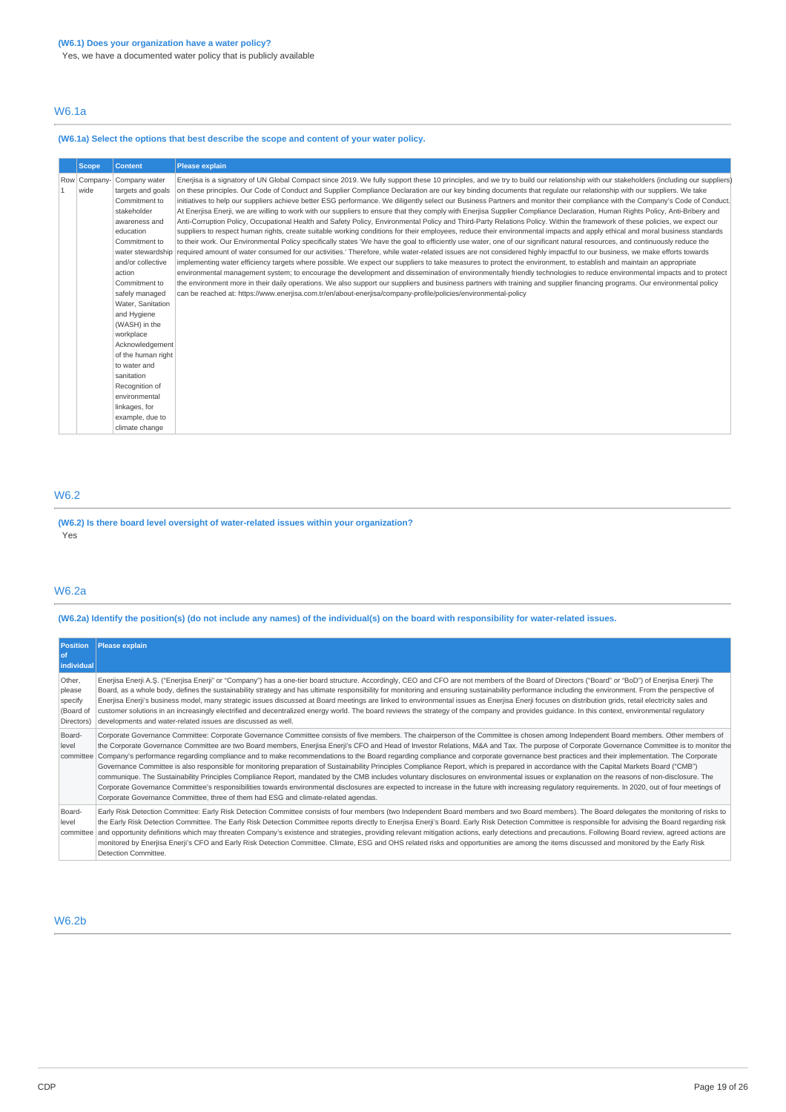Yes, we have a documented water policy that is publicly available

## W6.1a

## **(W6.1a) Select the options that best describe the scope and content of your water policy.**

| Scope,       | <b>Content</b>     | <b>Please explain</b>                                                                                                                                                                       |
|--------------|--------------------|---------------------------------------------------------------------------------------------------------------------------------------------------------------------------------------------|
| Row Company- | Company water      | Enerjisa is a signatory of UN Global Compact since 2019. We fully support these 10 principles, and we try to build our relationship with our stakeholders (including our suppliers)         |
| wide         | targets and goals  | on these principles. Our Code of Conduct and Supplier Compliance Declaration are our key binding documents that regulate our relationship with our suppliers. We take                       |
|              | Commitment to      | initiatives to help our suppliers achieve better ESG performance. We diligently select our Business Partners and monitor their compliance with the Company's Code of Conduct.               |
|              | stakeholder        | At Enerjisa Enerji, we are willing to work with our suppliers to ensure that they comply with Enerjisa Supplier Compliance Declaration, Human Rights Policy, Anti-Bribery and               |
|              | awareness and      | Anti-Corruption Policy, Occupational Health and Safety Policy, Environmental Policy and Third-Party Relations Policy. Within the framework of these policies, we expect our                 |
|              | education          | suppliers to respect human rights, create suitable working conditions for their employees, reduce their environmental impacts and apply ethical and moral business standards                |
|              | Commitment to      | to their work. Our Environmental Policy specifically states 'We have the goal to efficiently use water, one of our significant natural resources, and continuously reduce the               |
|              |                    | water stewardship required amount of water consumed for our activities.' Therefore, while water-related issues are not considered highly impactful to our business, we make efforts towards |
|              | and/or collective  | implementing water efficiency targets where possible. We expect our suppliers to take measures to protect the environment, to establish and maintain an appropriate                         |
|              | action             | environmental management system; to encourage the development and dissemination of environmentally friendly technologies to reduce environmental impacts and to protect                     |
|              | Commitment to      | the environment more in their daily operations. We also support our suppliers and business partners with training and supplier financing programs. Our environmental policy                 |
|              | safely managed     | can be reached at: https://www.enerjisa.com.tr/en/about-enerjisa/company-profile/policies/environmental-policy                                                                              |
|              | Water, Sanitation  |                                                                                                                                                                                             |
|              | and Hygiene        |                                                                                                                                                                                             |
|              | (WASH) in the      |                                                                                                                                                                                             |
|              | workplace          |                                                                                                                                                                                             |
|              | Acknowledgement    |                                                                                                                                                                                             |
|              | of the human right |                                                                                                                                                                                             |
|              | to water and       |                                                                                                                                                                                             |
|              | sanitation         |                                                                                                                                                                                             |
|              | Recognition of     |                                                                                                                                                                                             |
|              | environmental      |                                                                                                                                                                                             |
|              | linkages, for      |                                                                                                                                                                                             |
|              | example, due to    |                                                                                                                                                                                             |
|              | climate change     |                                                                                                                                                                                             |

## W6.2

**(W6.2) Is there board level oversight of water-related issues within your organization?** Yes

## W6.2a

(W6.2a) Identify the position(s) (do not include any names) of the individual(s) on the board with responsibility for water-related issues.

| <b>Position</b><br><b>of</b><br>individual             | Please explain                                                                                                                                                                                                                                                                                                                                                                                                                                                                                                                                                                                                                                                                                                                                                                                                                                                                                                                                                                                                                                                                                                                                                                                                                                                                |
|--------------------------------------------------------|-------------------------------------------------------------------------------------------------------------------------------------------------------------------------------------------------------------------------------------------------------------------------------------------------------------------------------------------------------------------------------------------------------------------------------------------------------------------------------------------------------------------------------------------------------------------------------------------------------------------------------------------------------------------------------------------------------------------------------------------------------------------------------------------------------------------------------------------------------------------------------------------------------------------------------------------------------------------------------------------------------------------------------------------------------------------------------------------------------------------------------------------------------------------------------------------------------------------------------------------------------------------------------|
| Other,<br>please<br>specify<br>(Board of<br>Directors) | Enerjisa Enerji A.Ş. ("Enerjisa Enerji" or "Company") has a one-tier board structure. Accordingly, CEO and CFO are not members of the Board of Directors ("Board" or "BoD") of Enerjisa Enerji The<br>Board, as a whole body, defines the sustainability strategy and has ultimate responsibility for monitoring and ensuring sustainability performance including the environment. From the perspective of<br>Enerjisa Enerji's business model, many strategic issues discussed at Board meetings are linked to environmental issues as Enerjisa Enerji focuses on distribution grids, retail electricity sales and<br>customer solutions in an increasingly electrified and decentralized energy world. The board reviews the strategy of the company and provides quidance. In this context, environmental regulatory<br>developments and water-related issues are discussed as well.                                                                                                                                                                                                                                                                                                                                                                                      |
| Board-<br>level<br>committee                           | Corporate Governance Committee: Corporate Governance Committee consists of five members. The chairperson of the Committee is chosen among Independent Board members. Other members of<br>the Corporate Governance Committee are two Board members, Enerjisa Enerji's CFO and Head of Investor Relations, M&A and Tax. The purpose of Corporate Governance Committee is to monitor the<br>Company's performance regarding compliance and to make recommendations to the Board regarding compliance and corporate governance best practices and their implementation. The Corporate<br>Governance Committee is also responsible for monitoring preparation of Sustainability Principles Compliance Report, which is prepared in accordance with the Capital Markets Board ("CMB")<br>communique. The Sustainability Principles Compliance Report, mandated by the CMB includes voluntary disclosures on environmental issues or explanation on the reasons of non-disclosure. The<br>Corporate Governance Committee's responsibilities towards environmental disclosures are expected to increase in the future with increasing regulatory requirements. In 2020, out of four meetings of<br>Corporate Governance Committee, three of them had ESG and climate-related agendas. |
| Board-<br>level                                        | Early Risk Detection Committee: Early Risk Detection Committee consists of four members (two Independent Board members and two Board members). The Board delegates the monitoring of risks to<br>the Early Risk Detection Committee. The Early Risk Detection Committee reports directly to Enerjisa Enerji's Board. Early Risk Detection Committee is responsible for advising the Board regarding risk<br>committee and opportunity definitions which may threaten Company's existence and strategies, providing relevant mitigation actions, early detections and precautions. Following Board review, agreed actions are<br>monitored by Enerjisa Enerji's CFO and Early Risk Detection Committee. Climate, ESG and OHS related risks and opportunities are among the items discussed and monitored by the Early Risk<br>Detection Committee.                                                                                                                                                                                                                                                                                                                                                                                                                             |

## W6.2b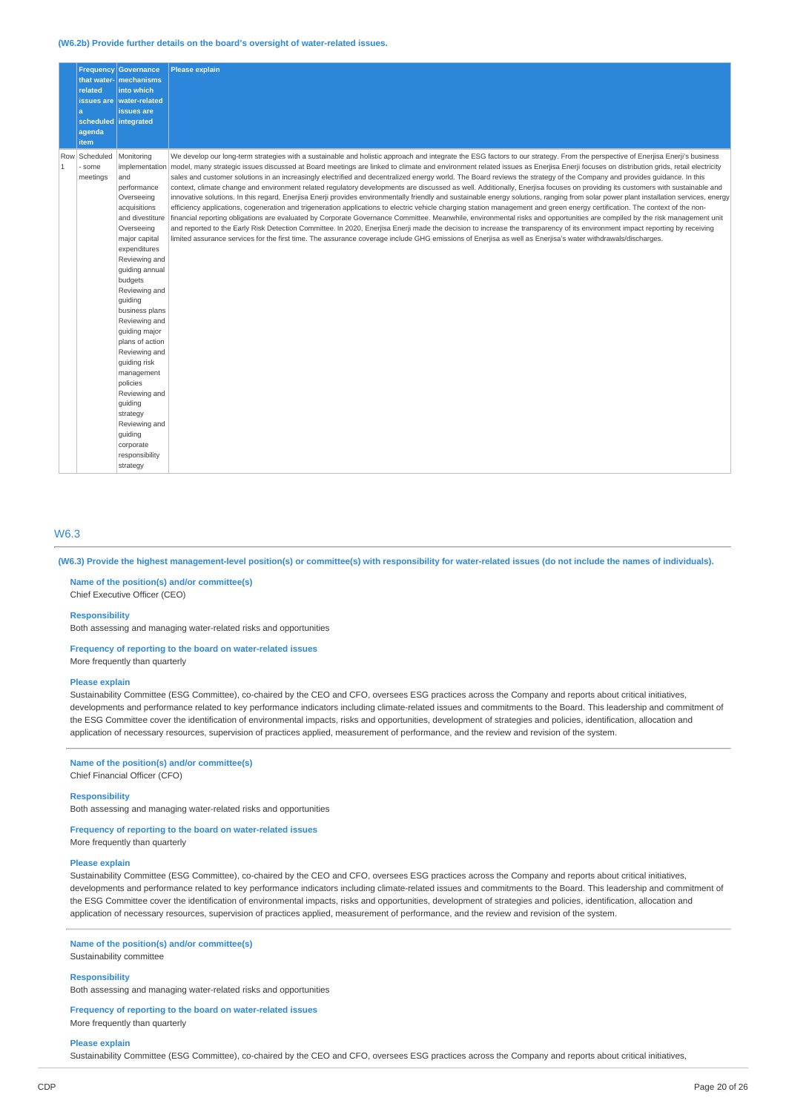#### **(W6.2b) Provide further details on the board's oversight of water-related issues.**

| related<br>a<br>agenda<br>item                           | <b>Frequency Governance</b><br>that water- mechanisms<br>into which<br>issues are water-related<br>issues are<br>scheduled integrated                                                                                                                                                                                                                                                                                                                                         | <b>Please explain</b>                                                                                                                                                                                                                                                                                                                                                                                                                                                                                                                                                                                                                                                                                                                                                                                                                                                                                                                                                                                                                                                                                                                                                                                                                                                                                                                                                                                                                                                                                                                                                                                                                    |
|----------------------------------------------------------|-------------------------------------------------------------------------------------------------------------------------------------------------------------------------------------------------------------------------------------------------------------------------------------------------------------------------------------------------------------------------------------------------------------------------------------------------------------------------------|------------------------------------------------------------------------------------------------------------------------------------------------------------------------------------------------------------------------------------------------------------------------------------------------------------------------------------------------------------------------------------------------------------------------------------------------------------------------------------------------------------------------------------------------------------------------------------------------------------------------------------------------------------------------------------------------------------------------------------------------------------------------------------------------------------------------------------------------------------------------------------------------------------------------------------------------------------------------------------------------------------------------------------------------------------------------------------------------------------------------------------------------------------------------------------------------------------------------------------------------------------------------------------------------------------------------------------------------------------------------------------------------------------------------------------------------------------------------------------------------------------------------------------------------------------------------------------------------------------------------------------------|
| Scheduled<br>Row<br>$\overline{1}$<br>- some<br>meetings | Monitoring<br>implementation<br>and<br>performance<br>Overseeing<br>acquisitions<br>and divestiture<br>Overseeing<br>major capital<br>expenditures<br>Reviewing and<br>quiding annual<br>budgets<br>Reviewing and<br>quiding<br>business plans<br>Reviewing and<br>quiding major<br>plans of action<br>Reviewing and<br>guiding risk<br>management<br>policies<br>Reviewing and<br>guiding<br>strategy<br>Reviewing and<br>guiding<br>corporate<br>responsibility<br>strategy | We develop our long-term strategies with a sustainable and holistic approach and integrate the ESG factors to our strategy. From the perspective of Enerjisa Enerji's business<br>model, many strategic issues discussed at Board meetings are linked to climate and environment related issues as Enerjisa Enerji focuses on distribution grids, retail electricity<br>sales and customer solutions in an increasingly electrified and decentralized energy world. The Board reviews the strategy of the Company and provides quidance. In this<br>context, climate change and environment related regulatory developments are discussed as well. Additionally, Enerjisa focuses on providing its customers with sustainable and<br>innovative solutions. In this regard, Enerjisa Enerji provides environmentally friendly and sustainable energy solutions, ranging from solar power plant installation services, energy<br>efficiency applications, cogeneration and trigeneration applications to electric vehicle charging station management and green energy certification. The context of the non-<br>financial reporting obligations are evaluated by Corporate Governance Committee. Meanwhile, environmental risks and opportunities are compiled by the risk management unit<br>and reported to the Early Risk Detection Committee. In 2020, Enerjisa Enerji made the decision to increase the transparency of its environment impact reporting by receiving<br>limited assurance services for the first time. The assurance coverage include GHG emissions of Enerjisa as well as Enerjisa's water withdrawals/discharges. |

#### W6.3

(W6.3) Provide the highest management-level position(s) or committee(s) with responsibility for water-related issues (do not include the names of individuals).

**Name of the position(s) and/or committee(s)** Chief Executive Officer (CEO)

#### **Responsibility**

Both assessing and managing water-related risks and opportunities

**Frequency of reporting to the board on water-related issues** More frequently than quarterly

#### **Please explain**

Sustainability Committee (ESG Committee), co-chaired by the CEO and CFO, oversees ESG practices across the Company and reports about critical initiatives, developments and performance related to key performance indicators including climate-related issues and commitments to the Board. This leadership and commitment of the ESG Committee cover the identification of environmental impacts, risks and opportunities, development of strategies and policies, identification, allocation and application of necessary resources, supervision of practices applied, measurement of performance, and the review and revision of the system.

#### **Name of the position(s) and/or committee(s)**

Chief Financial Officer (CFO)

#### **Responsibility**

Both assessing and managing water-related risks and opportunities

#### **Frequency of reporting to the board on water-related issues**

More frequently than quarterly

#### **Please explain**

Sustainability Committee (ESG Committee), co-chaired by the CEO and CFO, oversees ESG practices across the Company and reports about critical initiatives, developments and performance related to key performance indicators including climate-related issues and commitments to the Board. This leadership and commitment of the ESG Committee cover the identification of environmental impacts, risks and opportunities, development of strategies and policies, identification, allocation and application of necessary resources, supervision of practices applied, measurement of performance, and the review and revision of the system.

### **Name of the position(s) and/or committee(s)**

Sustainability committee

#### **Responsibility**

Both assessing and managing water-related risks and opportunities

## **Frequency of reporting to the board on water-related issues**

More frequently than quarterly

### **Please explain**

Sustainability Committee (ESG Committee), co-chaired by the CEO and CFO, oversees ESG practices across the Company and reports about critical initiatives,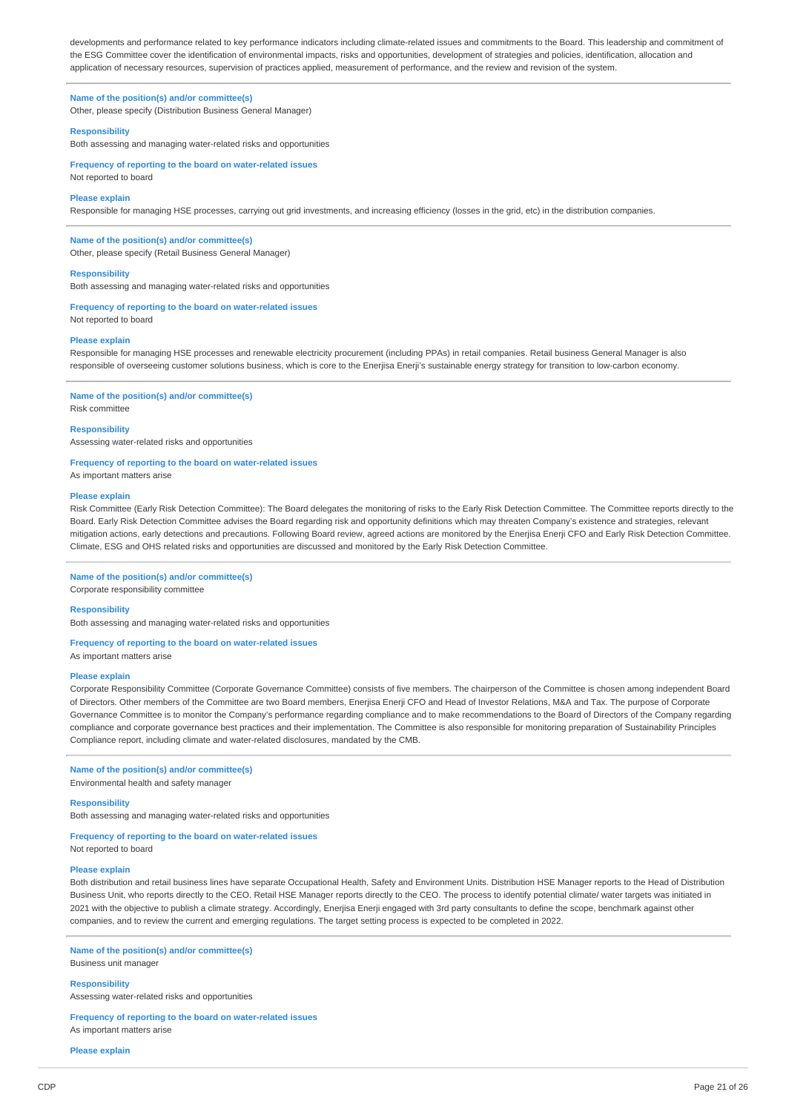developments and performance related to key performance indicators including climate-related issues and commitments to the Board. This leadership and commitment of the ESG Committee cover the identification of environmental impacts, risks and opportunities, development of strategies and policies, identification, allocation and application of necessary resources, supervision of practices applied, measurement of performance, and the review and revision of the system.

# **Name of the position(s) and/or committee(s)**

Other, please specify (Distribution Business General Manager)

## **Responsibility**

Both assessing and managing water-related risks and opportunities

**Frequency of reporting to the board on water-related issues** Not reported to board

#### **Please explain**

Responsible for managing HSE processes, carrying out grid investments, and increasing efficiency (losses in the grid, etc) in the distribution companies.

## **Name of the position(s) and/or committee(s)**

Other, please specify (Retail Business General Manager)

#### **Responsibility**

Both assessing and managing water-related risks and opportunities

## **Frequency of reporting to the board on water-related issues**

Not reported to board

### **Please explain**

Responsible for managing HSE processes and renewable electricity procurement (including PPAs) in retail companies. Retail business General Manager is also responsible of overseeing customer solutions business, which is core to the Enerjisa Enerji's sustainable energy strategy for transition to low-carbon economy.

# **Name of the position(s) and/or committee(s)**

Risk committee

#### **Responsibility**

Assessing water-related risks and opportunities

#### **Frequency of reporting to the board on water-related issues**

As important matters arise

#### **Please explain**

Risk Committee (Early Risk Detection Committee): The Board delegates the monitoring of risks to the Early Risk Detection Committee. The Committee reports directly to the Board. Early Risk Detection Committee advises the Board regarding risk and opportunity definitions which may threaten Company's existence and strategies, relevant mitigation actions, early detections and precautions. Following Board review, agreed actions are monitored by the Enerjisa Enerji CFO and Early Risk Detection Committee. Climate, ESG and OHS related risks and opportunities are discussed and monitored by the Early Risk Detection Committee.

#### **Name of the position(s) and/or committee(s)**

Corporate responsibility committee

#### **Responsibility**

Both assessing and managing water-related risks and opportunities

#### **Frequency of reporting to the board on water-related issues**

As important matters arise

#### **Please explain**

Corporate Responsibility Committee (Corporate Governance Committee) consists of five members. The chairperson of the Committee is chosen among independent Board of Directors. Other members of the Committee are two Board members, Enerjisa Enerji CFO and Head of Investor Relations, M&A and Tax. The purpose of Corporate Governance Committee is to monitor the Company's performance regarding compliance and to make recommendations to the Board of Directors of the Company regarding compliance and corporate governance best practices and their implementation. The Committee is also responsible for monitoring preparation of Sustainability Principles Compliance report, including climate and water-related disclosures, mandated by the CMB.

### **Name of the position(s) and/or committee(s)**

Environmental health and safety manager

#### **Responsibility**

Both assessing and managing water-related risks and opportunities

#### **Frequency of reporting to the board on water-related issues** Not reported to board

# **Please explain**

Both distribution and retail business lines have separate Occupational Health, Safety and Environment Units. Distribution HSE Manager reports to the Head of Distribution Business Unit, who reports directly to the CEO. Retail HSE Manager reports directly to the CEO. The process to identify potential climate/ water targets was initiated in 2021 with the objective to publish a climate strategy. Accordingly, Enerjisa Enerji engaged with 3rd party consultants to define the scope, benchmark against other companies, and to review the current and emerging regulations. The target setting process is expected to be completed in 2022.

#### **Name of the position(s) and/or committee(s)**

Business unit manager

#### **Responsibility**

Assessing water-related risks and opportunities

#### **Frequency of reporting to the board on water-related issues** As important matters arise

**Please explain**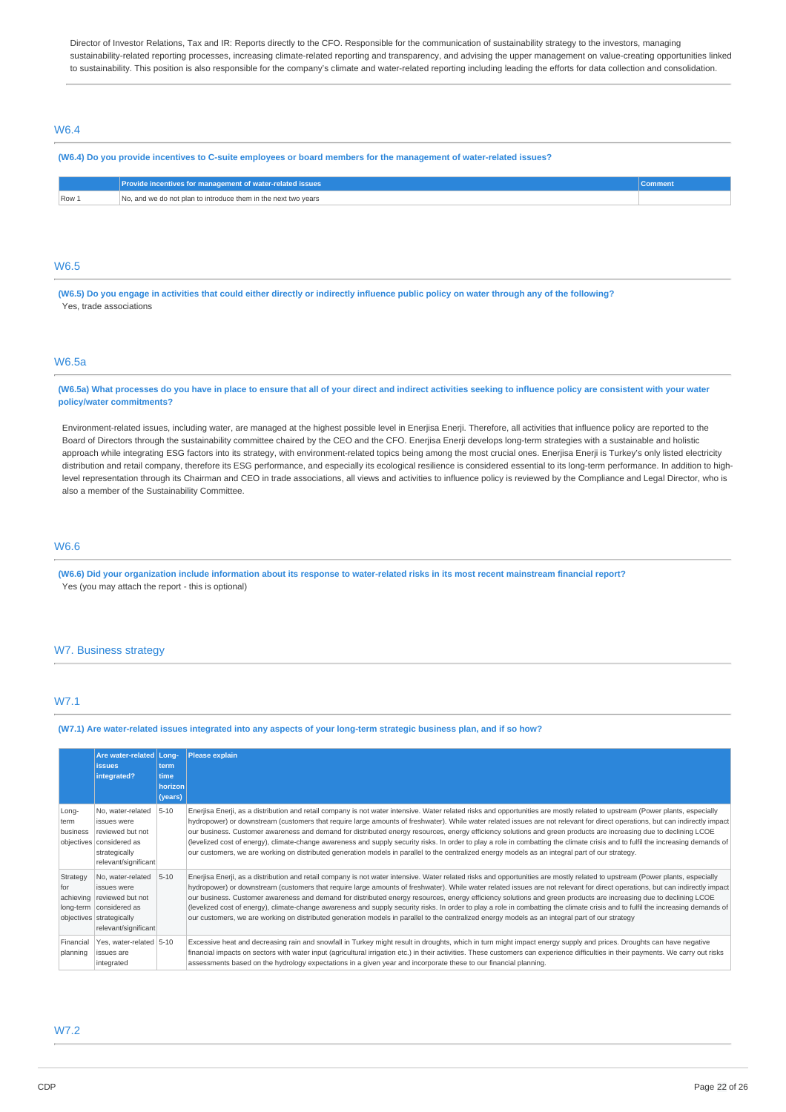Director of Investor Relations, Tax and IR: Reports directly to the CFO. Responsible for the communication of sustainability strategy to the investors, managing sustainability-related reporting processes, increasing climate-related reporting and transparency, and advising the upper management on value-creating opportunities linked to sustainability. This position is also responsible for the company's climate and water-related reporting including leading the efforts for data collection and consolidation.

## W6.4

#### (W6.4) Do you provide incentives to C-suite employees or board members for the management of water-related issues?

|       | Provide incentives for management of water-related issues '   |  |
|-------|---------------------------------------------------------------|--|
| Row . | ר, and we do not plan to introduce them in the next two years |  |

## W6.5

(W6.5) Do you engage in activities that could either directly or indirectly influence public policy on water through any of the following? Yes, trade associations

### W6.5a

#### (W6.5a) What processes do you have in place to ensure that all of your direct and indirect activities seeking to influence policy are consistent with your water **policy/water commitments?**

Environment-related issues, including water, are managed at the highest possible level in Enerjisa Enerji. Therefore, all activities that influence policy are reported to the Board of Directors through the sustainability committee chaired by the CEO and the CFO. Enerjisa Enerji develops long-term strategies with a sustainable and holistic approach while integrating ESG factors into its strategy, with environment-related topics being among the most crucial ones. Enerjisa Enerji is Turkey's only listed electricity distribution and retail company, therefore its ESG performance, and especially its ecological resilience is considered essential to its long-term performance. In addition to highlevel representation through its Chairman and CEO in trade associations, all views and activities to influence policy is reviewed by the Compliance and Legal Director, who is also a member of the Sustainability Committee.

## W6.6

(W6.6) Did your organization include information about its response to water-related risks in its most recent mainstream financial report? Yes (you may attach the report - this is optional)

#### W7. Business strategy

## W7.1

#### (W7.1) Are water-related issues integrated into any aspects of your long-term strategic business plan, and if so how?

|                           | Are water-related Long-<br><i>issues</i><br>integrated?                                                                                       | term<br>time<br>horizon<br>(years) | <b>Please explain</b>                                                                                                                                                                                                                                                                                                                                                                                                                                                                                                                                                                                                                                                                                                                                                                                                                                                     |
|---------------------------|-----------------------------------------------------------------------------------------------------------------------------------------------|------------------------------------|---------------------------------------------------------------------------------------------------------------------------------------------------------------------------------------------------------------------------------------------------------------------------------------------------------------------------------------------------------------------------------------------------------------------------------------------------------------------------------------------------------------------------------------------------------------------------------------------------------------------------------------------------------------------------------------------------------------------------------------------------------------------------------------------------------------------------------------------------------------------------|
| Long-<br>term<br>business | No, water-related<br>issues were<br>reviewed but not<br>objectives considered as<br>strategically<br>relevant/significant                     | $5 - 10$                           | Enerjisa Enerji, as a distribution and retail company is not water intensive. Water related risks and opportunities are mostly related to upstream (Power plants, especially<br>hydropower) or downstream (customers that require large amounts of freshwater). While water related issues are not relevant for direct operations, but can indirectly impact<br>our business. Customer awareness and demand for distributed energy resources, energy efficiency solutions and green products are increasing due to declining LCOE<br>(levelized cost of energy), climate-change awareness and supply security risks. In order to play a role in combatting the climate crisis and to fulfil the increasing demands of<br>our customers, we are working on distributed generation models in parallel to the centralized energy models as an integral part of our strategy. |
| Strategy<br>for           | No, water-related<br>issues were<br>achieving reviewed but not<br>long-term considered as<br>objectives strategically<br>relevant/significant | $5 - 10$                           | Enerjisa Enerji, as a distribution and retail company is not water intensive. Water related risks and opportunities are mostly related to upstream (Power plants, especially<br>hydropower) or downstream (customers that require large amounts of freshwater). While water related issues are not relevant for direct operations, but can indirectly impact<br>our business. Customer awareness and demand for distributed energy resources, energy efficiency solutions and green products are increasing due to declining LCOE<br>(levelized cost of energy), climate-change awareness and supply security risks. In order to play a role in combatting the climate crisis and to fulfil the increasing demands of<br>our customers, we are working on distributed generation models in parallel to the centralized energy models as an integral part of our strategy  |
| Financial<br>planning     | Yes, water-related 5-10<br>issues are<br>integrated                                                                                           |                                    | Excessive heat and decreasing rain and snowfall in Turkey might result in droughts, which in turn might impact energy supply and prices. Droughts can have negative<br>financial impacts on sectors with water input (agricultural irrigation etc.) in their activities. These customers can experience difficulties in their payments. We carry out risks<br>assessments based on the hydrology expectations in a given year and incorporate these to our financial planning.                                                                                                                                                                                                                                                                                                                                                                                            |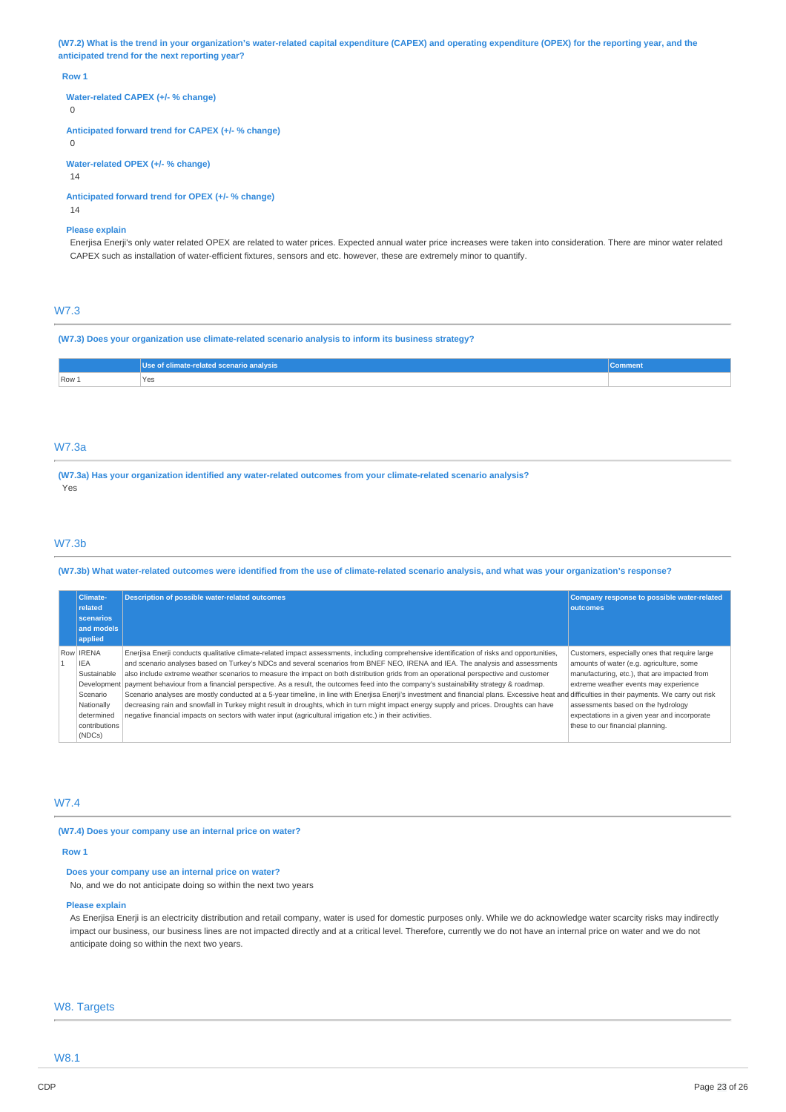(W7.2) What is the trend in your organization's water-related capital expenditure (CAPEX) and operating expenditure (OPEX) for the reporting year, and the **anticipated trend for the next reporting year?**

#### **Row 1**

**Water-related CAPEX (+/- % change)**

 $\Omega$ 

**Anticipated forward trend for CAPEX (+/- % change)**

 $\Omega$ 

**Water-related OPEX (+/- % change)**

 $14$ 

**Anticipated forward trend for OPEX (+/- % change)**

14

#### **Please explain**

Enerjisa Enerji's only water related OPEX are related to water prices. Expected annual water price increases were taken into consideration. There are minor water related CAPEX such as installation of water-efficient fixtures, sensors and etc. however, these are extremely minor to quantify.

## W7.3

**(W7.3) Does your organization use climate-related scenario analysis to inform its business strategy?**

|       | Use of climate-related scenario analysis | <b>Comment</b> |
|-------|------------------------------------------|----------------|
| Row 1 | Yes                                      |                |

#### W7.3a

**(W7.3a) Has your organization identified any water-related outcomes from your climate-related scenario analysis?** Yes

### W7.3b

## (W7.3b) What water-related outcomes were identified from the use of climate-related scenario analysis, and what was your organization's response?

|  | <b>Climate-</b><br>related<br>scenarios<br>and models<br>applied                                                 | Description of possible water-related outcomes                                                                                                                                                                                                                                                                                                                                                                                                                                                                                                                                                                                                                                                                                                                                                                                                                                                                                                                                                                                          | Company response to possible water-related<br><b>loutcomes</b>                                                                                                                                                                                                                                               |
|--|------------------------------------------------------------------------------------------------------------------|-----------------------------------------------------------------------------------------------------------------------------------------------------------------------------------------------------------------------------------------------------------------------------------------------------------------------------------------------------------------------------------------------------------------------------------------------------------------------------------------------------------------------------------------------------------------------------------------------------------------------------------------------------------------------------------------------------------------------------------------------------------------------------------------------------------------------------------------------------------------------------------------------------------------------------------------------------------------------------------------------------------------------------------------|--------------------------------------------------------------------------------------------------------------------------------------------------------------------------------------------------------------------------------------------------------------------------------------------------------------|
|  | Row <b>IRENA</b><br><b>IEA</b><br>Sustainable<br>Scenario<br>Nationally<br>determined<br>contributions<br>(NDCs) | Enerjisa Enerji conducts qualitative climate-related impact assessments, including comprehensive identification of risks and opportunities,<br>and scenario analyses based on Turkey's NDCs and several scenarios from BNEF NEO, IRENA and IEA. The analysis and assessments<br>also include extreme weather scenarios to measure the impact on both distribution grids from an operational perspective and customer<br>Development   payment behaviour from a financial perspective. As a result, the outcomes feed into the company's sustainability strategy & roadmap.<br>Scenario analyses are mostly conducted at a 5-year timeline, in line with Enerjisa Enerji's investment and financial plans. Excessive heat and difficulties in their payments. We carry out risk<br>decreasing rain and snowfall in Turkey might result in droughts, which in turn might impact energy supply and prices. Droughts can have<br>negative financial impacts on sectors with water input (agricultural irrigation etc.) in their activities. | Customers, especially ones that require large<br>amounts of water (e.g. agriculture, some<br>manufacturing, etc.), that are impacted from<br>extreme weather events may experience<br>assessments based on the hydrology<br>expectations in a given year and incorporate<br>these to our financial planning. |

## W7.4

**(W7.4) Does your company use an internal price on water?**

#### **Row 1**

#### **Does your company use an internal price on water?**

No, and we do not anticipate doing so within the next two years

#### **Please explain**

As Enerjisa Enerji is an electricity distribution and retail company, water is used for domestic purposes only. While we do acknowledge water scarcity risks may indirectly impact our business, our business lines are not impacted directly and at a critical level. Therefore, currently we do not have an internal price on water and we do not anticipate doing so within the next two years.

### W8. Targets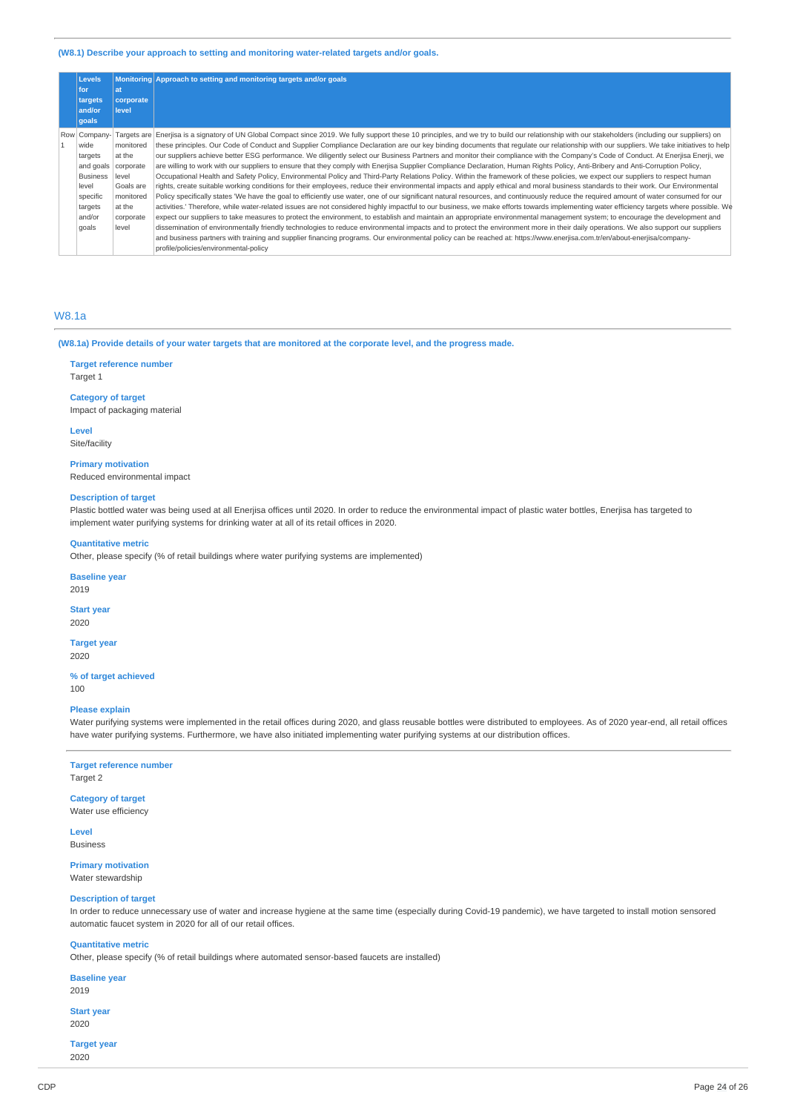### **(W8.1) Describe your approach to setting and monitoring water-related targets and/or goals.**

| <b>Levels</b>         |                           | Monitoring Approach to setting and monitoring targets and/or goals                                                                                                                       |
|-----------------------|---------------------------|------------------------------------------------------------------------------------------------------------------------------------------------------------------------------------------|
| for                   | at                        |                                                                                                                                                                                          |
| targets<br>and/or     | corporate<br><b>level</b> |                                                                                                                                                                                          |
| qoals                 |                           |                                                                                                                                                                                          |
| Row Company-          | Targets are               | Enerjisa is a signatory of UN Global Compact since 2019. We fully support these 10 principles, and we try to build our relationship with our stakeholders (including our suppliers) on   |
| wide                  | monitored                 | these principles. Our Code of Conduct and Supplier Compliance Declaration are our key binding documents that regulate our relationship with our suppliers. We take initiatives to help   |
| targets               | at the                    | our suppliers achieve better ESG performance. We diligently select our Business Partners and monitor their compliance with the Company's Code of Conduct. At Enerjisa Enerji, we         |
| and goals   corporate |                           | are willing to work with our suppliers to ensure that they comply with Enerjisa Supplier Compliance Declaration, Human Rights Policy, Anti-Bribery and Anti-Corruption Policy,           |
| <b>Business</b>       | llevel                    | Occupational Health and Safety Policy, Environmental Policy and Third-Party Relations Policy. Within the framework of these policies, we expect our suppliers to respect human           |
| level                 | Goals are                 | rights, create suitable working conditions for their employees, reduce their environmental impacts and apply ethical and moral business standards to their work. Our Environmental       |
| specific              | monitored                 | Policy specifically states 'We have the goal to efficiently use water, one of our significant natural resources, and continuously reduce the required amount of water consumed for our   |
| targets               | at the                    | activities.' Therefore, while water-related issues are not considered highly impactful to our business, we make efforts towards implementing water efficiency targets where possible. We |
| and/or                | corporate                 | expect our suppliers to take measures to protect the environment, to establish and maintain an appropriate environmental management system; to encourage the development and             |
| goals                 | level                     | dissemination of environmentally friendly technologies to reduce environmental impacts and to protect the environment more in their daily operations. We also support our suppliers      |
|                       |                           | and business partners with training and supplier financing programs. Our environmental policy can be reached at: https://www.enerjisa.com.tr/en/about-enerjisa/company-                  |
|                       |                           | profile/policies/environmental-policy                                                                                                                                                    |

## W8.1a

(W8.1a) Provide details of your water targets that are monitored at the corporate level, and the progress made.

## **Target reference number**

Target 1

### **Category of target**

Impact of packaging material

**Level**

Site/facility

#### **Primary motivation**

Reduced environmental impact

## **Description of target**

Plastic bottled water was being used at all Enerjisa offices until 2020. In order to reduce the environmental impact of plastic water bottles, Enerjisa has targeted to implement water purifying systems for drinking water at all of its retail offices in 2020.

#### **Quantitative metric**

Other, please specify (% of retail buildings where water purifying systems are implemented)

#### **Baseline year**

2019

#### **Start year** 2020

#### **Target year** 2020

**% of target achieved** 100

#### **Please explain**

Water purifying systems were implemented in the retail offices during 2020, and glass reusable bottles were distributed to employees. As of 2020 year-end, all retail offices have water purifying systems. Furthermore, we have also initiated implementing water purifying systems at our distribution offices.

#### **Target reference number** Target 2

## **Category of target**

Water use efficiency

**Level** Business

#### **Primary motivation** Water stewardship

## **Description of target**

In order to reduce unnecessary use of water and increase hygiene at the same time (especially during Covid-19 pandemic), we have targeted to install motion sensored automatic faucet system in 2020 for all of our retail offices.

#### **Quantitative metric**

Other, please specify (% of retail buildings where automated sensor-based faucets are installed)

**Baseline year** 2019

#### **Start year** 2020

**Target year** 2020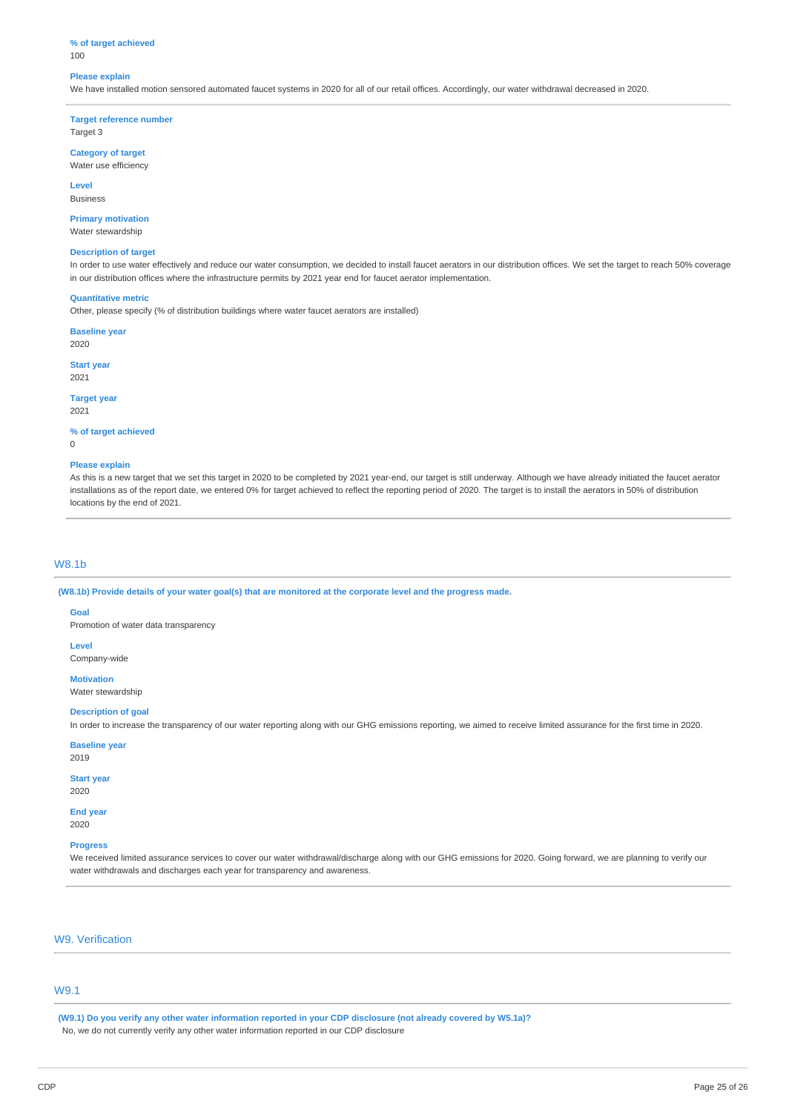## **% of target achieved**

100

### **Please explain**

We have installed motion sensored automated faucet systems in 2020 for all of our retail offices. Accordingly, our water withdrawal decreased in 2020.

**Target reference number** Target 3

**Category of target** Water use efficiency

**Level**

Business

**Primary motivation** Water stewardship

#### **Description of target**

In order to use water effectively and reduce our water consumption, we decided to install faucet aerators in our distribution offices. We set the target to reach 50% coverage in our distribution offices where the infrastructure permits by 2021 year end for faucet aerator implementation.

#### **Quantitative metric**

Other, please specify (% of distribution buildings where water faucet aerators are installed)

**Baseline year** 2020

**Start year** 2021

**Target year**

2021

**% of target achieved**

 $\theta$ 

#### **Please explain**

As this is a new target that we set this target in 2020 to be completed by 2021 year-end, our target is still underway. Although we have already initiated the faucet aerator installations as of the report date, we entered 0% for target achieved to reflect the reporting period of 2020. The target is to install the aerators in 50% of distribution locations by the end of 2021.

## W8.1b

(W8.1b) Provide details of your water goal(s) that are monitored at the corporate level and the progress made.

### **Goal**

Promotion of water data transparency

**Level**

Company-wide

**Motivation** Water stewardship

## **Description of goal**

In order to increase the transparency of our water reporting along with our GHG emissions reporting, we aimed to receive limited assurance for the first time in 2020.

### **Baseline year**

2019

## **Start year**

2020

**End year** 2020

#### **Progress**

We received limited assurance services to cover our water withdrawal/discharge along with our GHG emissions for 2020. Going forward, we are planning to verify our water withdrawals and discharges each year for transparency and awareness.

## W9. Verification

## W9.1

(W9.1) Do you verify any other water information reported in your CDP disclosure (not already covered by W5.1a)? No, we do not currently verify any other water information reported in our CDP disclosure